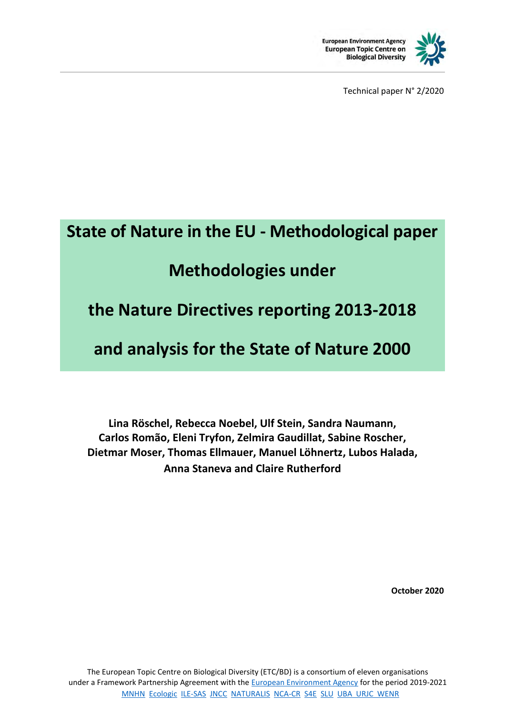

Technical paper N° 2/2020

# **State of Nature in the EU - Methodological paper**

# **Methodologies under**

## **the Nature Directives reporting 2013-2018**

# **and analysis for the State of Nature 2000**

**Lina Röschel, Rebecca Noebel, Ulf Stein, Sandra Naumann, Carlos Romão, Eleni Tryfon, Zelmira Gaudillat, Sabine Roscher, Dietmar Moser, Thomas Ellmauer, Manuel Löhnertz, Lubos Halada, Anna Staneva and Claire Rutherford**

**October 2020**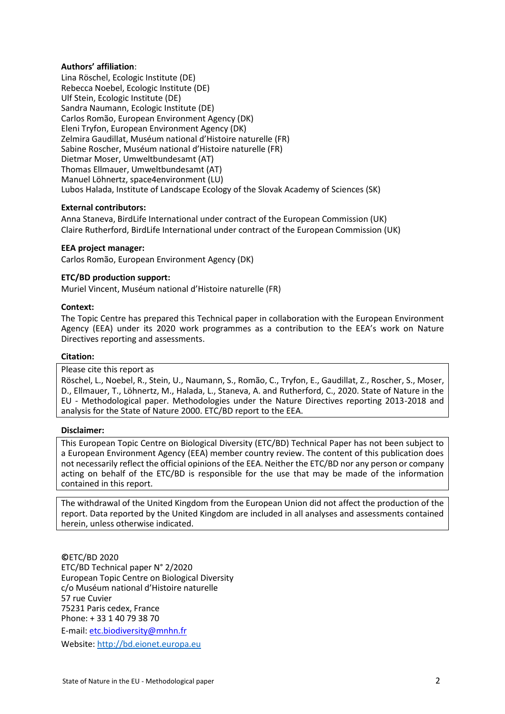#### **Authors' affiliation**:

Lina Röschel, Ecologic Institute (DE) Rebecca Noebel, Ecologic Institute (DE) Ulf Stein, Ecologic Institute (DE) Sandra Naumann, Ecologic Institute (DE) Carlos Romão, European Environment Agency (DK) Eleni Tryfon, European Environment Agency (DK) Zelmira Gaudillat, Muséum national d'Histoire naturelle (FR) Sabine Roscher, Muséum national d'Histoire naturelle (FR) Dietmar Moser, Umweltbundesamt (AT) Thomas Ellmauer, Umweltbundesamt (AT) Manuel Löhnertz, space4environment (LU) Lubos Halada, Institute of Landscape Ecology of the Slovak Academy of Sciences (SK)

#### **External contributors:**

Anna Staneva, BirdLife International under contract of the European Commission (UK) Claire Rutherford, BirdLife International under contract of the European Commission (UK)

#### **EEA project manager:**

Carlos Romão, European Environment Agency (DK)

#### **ETC/BD production support:**

Muriel Vincent, Muséum national d'Histoire naturelle (FR)

#### **Context:**

The Topic Centre has prepared this Technical paper in collaboration with the European Environment Agency (EEA) under its 2020 work programmes as a contribution to the EEA's work on Nature Directives reporting and assessments.

#### **Citation:**

#### Please cite this report as

Röschel, L., Noebel, R., Stein, U., Naumann, S., Romão, C., Tryfon, E., Gaudillat, Z., Roscher, S., Moser, D., Ellmauer, T., Löhnertz, M., Halada, L., Staneva, A. and Rutherford, C., 2020. State of Nature in the EU - Methodological paper. Methodologies under the Nature Directives reporting 2013-2018 and analysis for the State of Nature 2000. ETC/BD report to the EEA.

#### **Disclaimer:**

This European Topic Centre on Biological Diversity (ETC/BD) Technical Paper has not been subject to a European Environment Agency (EEA) member country review. The content of this publication does not necessarily reflect the official opinions of the EEA. Neither the ETC/BD nor any person or company acting on behalf of the ETC/BD is responsible for the use that may be made of the information contained in this report.

The withdrawal of the United Kingdom from the European Union did not affect the production of the report. Data reported by the United Kingdom are included in all analyses and assessments contained herein, unless otherwise indicated.

**©**ETC/BD 2020 ETC/BD Technical paper N° 2/2020 European Topic Centre on Biological Diversity c/o Muséum national d'Histoire naturelle 57 rue Cuvier 75231 Paris cedex, France Phone: + 33 1 40 79 38 70 E-mail: etc.biodiversity@mnhn.fr Website[: http://bd.eionet.europa.eu](http://bd.eionet.europa.eu/)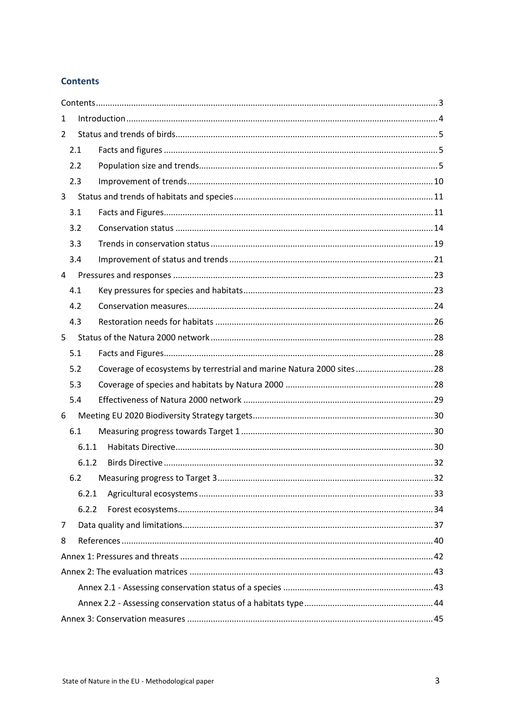#### <span id="page-2-0"></span>**Contents**

| 1              |       |                                                                       |  |  |  |
|----------------|-------|-----------------------------------------------------------------------|--|--|--|
| $\overline{2}$ |       |                                                                       |  |  |  |
| 2.1            |       |                                                                       |  |  |  |
| 2.2            |       |                                                                       |  |  |  |
| 2.3            |       |                                                                       |  |  |  |
| 3              |       |                                                                       |  |  |  |
| 3.1            |       |                                                                       |  |  |  |
| 3.2            |       |                                                                       |  |  |  |
| 3.3            |       |                                                                       |  |  |  |
| 3.4            |       |                                                                       |  |  |  |
| 4              |       |                                                                       |  |  |  |
| 4.1            |       |                                                                       |  |  |  |
| 4.2            |       |                                                                       |  |  |  |
| 4.3            |       |                                                                       |  |  |  |
| 5              |       |                                                                       |  |  |  |
| 5.1            |       |                                                                       |  |  |  |
| 5.2            |       | Coverage of ecosystems by terrestrial and marine Natura 2000 sites 28 |  |  |  |
| 5.3            |       |                                                                       |  |  |  |
| 5.4            |       |                                                                       |  |  |  |
| 6              |       |                                                                       |  |  |  |
| 6.1            |       |                                                                       |  |  |  |
|                | 6.1.1 |                                                                       |  |  |  |
|                | 6.1.2 |                                                                       |  |  |  |
|                |       |                                                                       |  |  |  |
|                | 6.2.1 |                                                                       |  |  |  |
|                | 6.2.2 |                                                                       |  |  |  |
| 7              |       |                                                                       |  |  |  |
| 8              |       |                                                                       |  |  |  |
|                |       |                                                                       |  |  |  |
|                |       |                                                                       |  |  |  |
|                |       |                                                                       |  |  |  |
|                |       |                                                                       |  |  |  |
|                |       |                                                                       |  |  |  |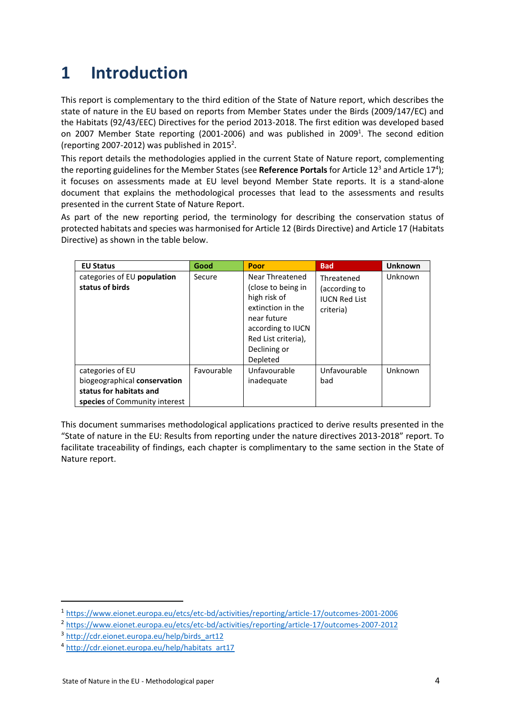# <span id="page-3-0"></span>**1 Introduction**

This report is complementary to the third edition of the State of Nature report, which describes the state of nature in the EU based on reports from Member States under the Birds (2009/147/EC) and the Habitats (92/43/EEC) Directives for the period 2013-2018. The first edition was developed based on 2007 Member State reporting (2001-2006) and was published in 2009<sup>1</sup>. The second edition (reporting 2007-2012) was published in 2015<sup>2</sup>.

This report details the methodologies applied in the current State of Nature report, complementing the reporting guidelines for the Member States (see Reference Portals for Article 12<sup>3</sup> and Article 17<sup>4</sup>); it focuses on assessments made at EU level beyond Member State reports. It is a stand-alone document that explains the methodological processes that lead to the assessments and results presented in the current State of Nature Report.

As part of the new reporting period, the terminology for describing the conservation status of protected habitats and species was harmonised for Article 12 (Birds Directive) and Article 17 (Habitats Directive) as shown in the table below.

| <b>EU Status</b>                               | Good       | Poor                                                                                                                                                              | <b>Bad</b>                                                       | <b>Unknown</b> |
|------------------------------------------------|------------|-------------------------------------------------------------------------------------------------------------------------------------------------------------------|------------------------------------------------------------------|----------------|
| categories of EU population<br>status of birds | Secure     | Near Threatened<br>(close to being in<br>high risk of<br>extinction in the<br>near future<br>according to IUCN<br>Red List criteria),<br>Declining or<br>Depleted | Threatened<br>(according to<br><b>IUCN Red List</b><br>criteria) | Unknown        |
| categories of EU                               | Favourable | Unfavourable                                                                                                                                                      | Unfavourable                                                     | Unknown        |
| biogeographical conservation                   |            | inadequate                                                                                                                                                        | bad                                                              |                |
| status for habitats and                        |            |                                                                                                                                                                   |                                                                  |                |
| species of Community interest                  |            |                                                                                                                                                                   |                                                                  |                |

This document summarises methodological applications practiced to derive results presented in the "State of nature in the EU: Results from reporting under the nature directives 2013-2018" report. To facilitate traceability of findings, each chapter is complimentary to the same section in the State of Nature report.

1

<sup>1</sup> <https://www.eionet.europa.eu/etcs/etc-bd/activities/reporting/article-17/outcomes-2001-2006>

<sup>2</sup> <https://www.eionet.europa.eu/etcs/etc-bd/activities/reporting/article-17/outcomes-2007-2012>

<sup>&</sup>lt;sup>3</sup> [http://cdr.eionet.europa.eu/help/birds\\_art12](http://cdr.eionet.europa.eu/help/birds_art12)

<sup>4</sup> [http://cdr.eionet.europa.eu/help/habitats\\_art17](http://cdr.eionet.europa.eu/help/habitats_art17)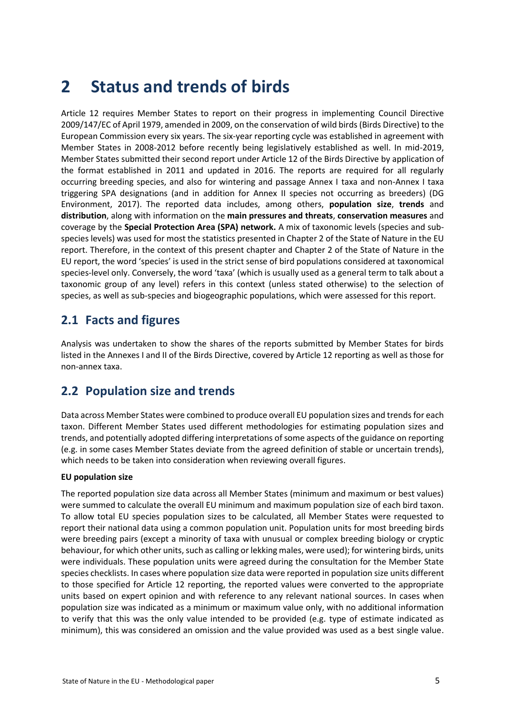# <span id="page-4-0"></span>**2 Status and trends of birds**

Article 12 requires Member States to report on their progress in implementing Council Directive 2009/147/EC of April 1979, amended in 2009, on the conservation of wild birds (Birds Directive) to the European Commission every six years. The six-year reporting cycle was established in agreement with Member States in 2008-2012 before recently being legislatively established as well. In mid-2019, Member States submitted their second report under Article 12 of the Birds Directive by application of the format established in 2011 and updated in 2016. The reports are required for all regularly occurring breeding species, and also for wintering and passage Annex I taxa and non-Annex I taxa triggering SPA designations (and in addition for Annex II species not occurring as breeders) (DG Environment, 2017). The reported data includes, among others, **population size**, **trends** and **distribution**, along with information on the **main pressures and threats**, **conservation measures** and coverage by the **Special Protection Area (SPA) network.** A mix of taxonomic levels (species and subspecies levels) was used for most the statistics presented in Chapter 2 of the State of Nature in the EU report. Therefore, in the context of this present chapter and Chapter 2 of the State of Nature in the EU report, the word 'species' is used in the strict sense of bird populations considered at taxonomical species-level only. Conversely, the word 'taxa' (which is usually used as a general term to talk about a taxonomic group of any level) refers in this context (unless stated otherwise) to the selection of species, as well as sub-species and biogeographic populations, which were assessed for this report.

## <span id="page-4-1"></span>**2.1 Facts and figures**

Analysis was undertaken to show the shares of the reports submitted by Member States for birds listed in the Annexes I and II of the Birds Directive, covered by Article 12 reporting as well as those for non-annex taxa.

## <span id="page-4-2"></span>**2.2 Population size and trends**

Data across Member States were combined to produce overall EU population sizes and trends for each taxon. Different Member States used different methodologies for estimating population sizes and trends, and potentially adopted differing interpretations of some aspects of the guidance on reporting (e.g. in some cases Member States deviate from the agreed definition of stable or uncertain trends), which needs to be taken into consideration when reviewing overall figures.

#### **EU population size**

The reported population size data across all Member States (minimum and maximum or best values) were summed to calculate the overall EU minimum and maximum population size of each bird taxon. To allow total EU species population sizes to be calculated, all Member States were requested to report their national data using a common population unit. Population units for most breeding birds were breeding pairs (except a minority of taxa with unusual or complex breeding biology or cryptic behaviour, for which other units, such as calling or lekking males, were used); for wintering birds, units were individuals. These population units were agreed during the consultation for the Member State species checklists. In cases where population size data were reported in population size units different to those specified for Article 12 reporting, the reported values were converted to the appropriate units based on expert opinion and with reference to any relevant national sources. In cases when population size was indicated as a minimum or maximum value only, with no additional information to verify that this was the only value intended to be provided (e.g. type of estimate indicated as minimum), this was considered an omission and the value provided was used as a best single value.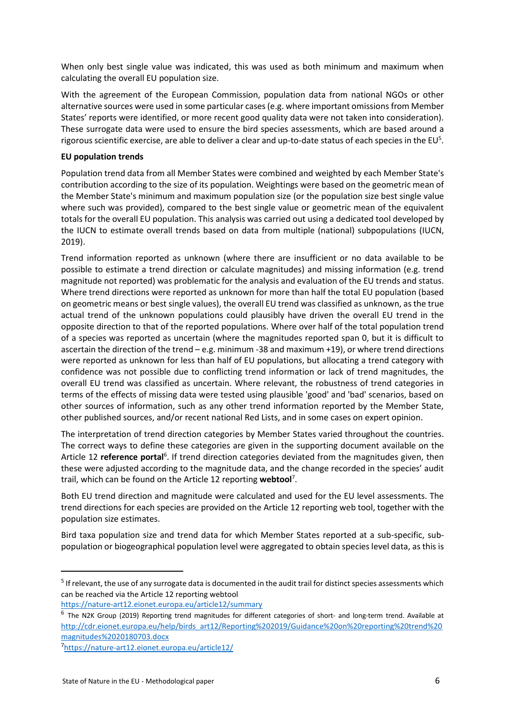When only best single value was indicated, this was used as both minimum and maximum when calculating the overall EU population size.

With the agreement of the European Commission, population data from national NGOs or other alternative sources were used in some particular cases (e.g. where important omissions from Member States' reports were identified, or more recent good quality data were not taken into consideration). These surrogate data were used to ensure the bird species assessments, which are based around a rigorous scientific exercise, are able to deliver a clear and up-to-date status of each species in the EU<sup>5</sup>.

#### **EU population trends**

Population trend data from all Member States were combined and weighted by each Member State's contribution according to the size of its population. Weightings were based on the geometric mean of the Member State's minimum and maximum population size (or the population size best single value where such was provided), compared to the best single value or geometric mean of the equivalent totals for the overall EU population. This analysis was carried out using a dedicated tool developed by the IUCN to estimate overall trends based on data from multiple (national) subpopulations (IUCN, 2019).

Trend information reported as unknown (where there are insufficient or no data available to be possible to estimate a trend direction or calculate magnitudes) and missing information (e.g. trend magnitude not reported) was problematic for the analysis and evaluation of the EU trends and status. Where trend directions were reported as unknown for more than half the total EU population (based on geometric means or best single values), the overall EU trend was classified as unknown, as the true actual trend of the unknown populations could plausibly have driven the overall EU trend in the opposite direction to that of the reported populations. Where over half of the total population trend of a species was reported as uncertain (where the magnitudes reported span 0, but it is difficult to ascertain the direction of the trend – e.g. minimum -38 and maximum +19), or where trend directions were reported as unknown for less than half of EU populations, but allocating a trend category with confidence was not possible due to conflicting trend information or lack of trend magnitudes, the overall EU trend was classified as uncertain. Where relevant, the robustness of trend categories in terms of the effects of missing data were tested using plausible 'good' and 'bad' scenarios, based on other sources of information, such as any other trend information reported by the Member State, other published sources, and/or recent national Red Lists, and in some cases on expert opinion.

The interpretation of trend direction categories by Member States varied throughout the countries. The correct ways to define these categories are given in the supporting document available on the Article 12 reference portal<sup>6</sup>. If trend direction categories deviated from the magnitudes given, then these were adjusted according to the magnitude data, and the change recorded in the species' audit trail, which can be found on the Article 12 reporting **webtool**<sup>7</sup> .

Both EU trend direction and magnitude were calculated and used for the EU level assessments. The trend directions for each species are provided on the Article 12 reporting web tool, together with the population size estimates.

Bird taxa population size and trend data for which Member States reported at a sub-specific, subpopulation or biogeographical population level were aggregated to obtain species level data, as this is

**.** 

<sup>&</sup>lt;sup>5</sup> If relevant, the use of any surrogate data is documented in the audit trail for distinct species assessments which can be reached via the Article 12 reporting webtool

<https://nature-art12.eionet.europa.eu/article12/summary>

<sup>&</sup>lt;sup>6</sup> The N2K Group (2019) Reporting trend magnitudes for different categories of short- and long-term trend. Available at [http://cdr.eionet.europa.eu/help/birds\\_art12/Reporting%202019/Guidance%20on%20reporting%20trend%20](http://cdr.eionet.europa.eu/help/birds_art12/Reporting%202019/Guidance%20on%20reporting%20trend%20magnitudes%2020180703.docx) [magnitudes%2020180703.docx](http://cdr.eionet.europa.eu/help/birds_art12/Reporting%202019/Guidance%20on%20reporting%20trend%20magnitudes%2020180703.docx)

<sup>7</sup> <https://nature-art12.eionet.europa.eu/article12/>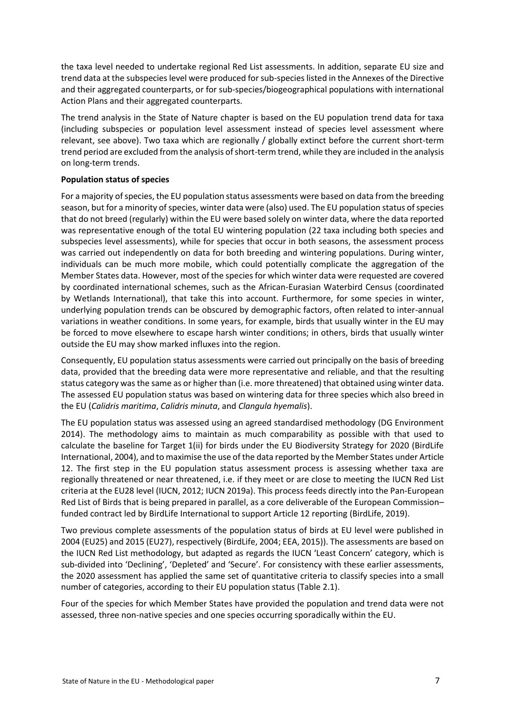the taxa level needed to undertake regional Red List assessments. In addition, separate EU size and trend data at the subspecies level were produced for sub-species listed in the Annexes of the Directive and their aggregated counterparts, or for sub-species/biogeographical populations with international Action Plans and their aggregated counterparts.

The trend analysis in the State of Nature chapter is based on the EU population trend data for taxa (including subspecies or population level assessment instead of species level assessment where relevant, see above). Two taxa which are regionally / globally extinct before the current short-term trend period are excluded from the analysis of short-term trend, while they are included in the analysis on long-term trends.

#### **Population status of species**

For a majority of species, the EU population status assessments were based on data from the breeding season, but for a minority of species, winter data were (also) used. The EU population status of species that do not breed (regularly) within the EU were based solely on winter data, where the data reported was representative enough of the total EU wintering population (22 taxa including both species and subspecies level assessments), while for species that occur in both seasons, the assessment process was carried out independently on data for both breeding and wintering populations. During winter, individuals can be much more mobile, which could potentially complicate the aggregation of the Member States data. However, most of the species for which winter data were requested are covered by coordinated international schemes, such as the African-Eurasian Waterbird Census (coordinated by Wetlands International), that take this into account. Furthermore, for some species in winter, underlying population trends can be obscured by demographic factors, often related to inter-annual variations in weather conditions. In some years, for example, birds that usually winter in the EU may be forced to move elsewhere to escape harsh winter conditions; in others, birds that usually winter outside the EU may show marked influxes into the region.

Consequently, EU population status assessments were carried out principally on the basis of breeding data, provided that the breeding data were more representative and reliable, and that the resulting status category was the same as or higher than (i.e. more threatened) that obtained using winter data. The assessed EU population status was based on wintering data for three species which also breed in the EU (*Calidris maritima*, *Calidris minuta*, and *Clangula hyemalis*).

The EU population status was assessed using an agreed standardised methodology (DG Environment 2014). The methodology aims to maintain as much comparability as possible with that used to calculate the baseline for Target 1(ii) for birds under the EU Biodiversity Strategy for 2020 (BirdLife International, 2004), and to maximise the use of the data reported by the Member States under Article 12. The first step in the EU population status assessment process is assessing whether taxa are regionally threatened or near threatened, i.e. if they meet or are close to meeting the IUCN Red List criteria at the EU28 level (IUCN, 2012; IUCN 2019a). This process feeds directly into the Pan-European Red List of Birds that is being prepared in parallel, as a core deliverable of the European Commission– funded contract led by BirdLife International to support Article 12 reporting (BirdLife, 2019).

Two previous complete assessments of the population status of birds at EU level were published in 2004 (EU25) and 2015 (EU27), respectively (BirdLife, 2004; EEA, 2015)). The assessments are based on the IUCN Red List methodology, but adapted as regards the IUCN 'Least Concern' category, which is sub-divided into 'Declining', 'Depleted' and 'Secure'. For consistency with these earlier assessments, the 2020 assessment has applied the same set of quantitative criteria to classify species into a small number of categories, according to their EU population status (Table 2.1).

Four of the species for which Member States have provided the population and trend data were not assessed, three non-native species and one species occurring sporadically within the EU.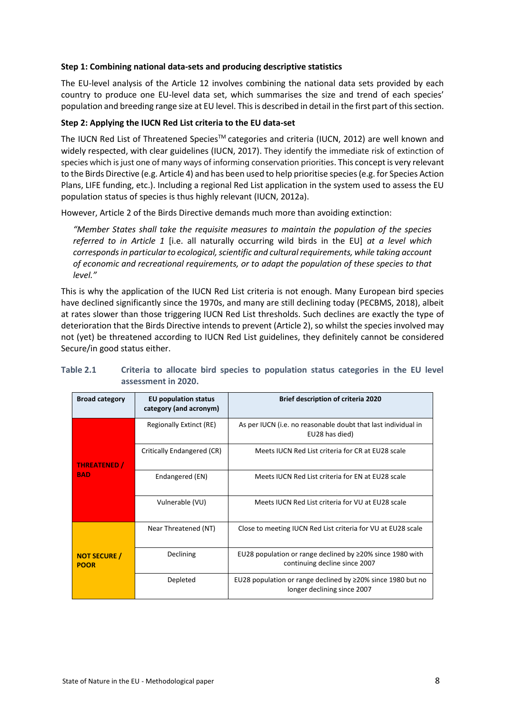#### **Step 1: Combining national data-sets and producing descriptive statistics**

The EU-level analysis of the Article 12 involves combining the national data sets provided by each country to produce one EU-level data set, which summarises the size and trend of each species' population and breeding range size at EU level. This is described in detail in the first part of this section.

#### **Step 2: Applying the IUCN Red List criteria to the EU data-set**

The IUCN Red List of Threatened Species™ categories and criteria (IUCN, 2012) are well known and widely respected, with clear guidelines (IUCN, 2017). They identify the immediate risk of extinction of species which is just one of many ways of informing conservation priorities. This concept is very relevant to the Birds Directive (e.g. Article 4) and has been used to help prioritise species (e.g. for Species Action Plans, LIFE funding, etc.). Including a regional Red List application in the system used to assess the EU population status of species is thus highly relevant (IUCN, 2012a).

However, Article 2 of the Birds Directive demands much more than avoiding extinction:

*"Member States shall take the requisite measures to maintain the population of the species referred to in Article 1* [i.e. all naturally occurring wild birds in the EU] *at a level which corresponds in particular to ecological, scientific and cultural requirements, while taking account of economic and recreational requirements, or to adapt the population of these species to that level."*

This is why the application of the IUCN Red List criteria is not enough. Many European bird species have declined significantly since the 1970s, and many are still declining today (PECBMS, 2018), albeit at rates slower than those triggering IUCN Red List thresholds. Such declines are exactly the type of deterioration that the Birds Directive intends to prevent (Article 2), so whilst the species involved may not (yet) be threatened according to IUCN Red List guidelines, they definitely cannot be considered Secure/in good status either.

| <b>Broad category</b>              | EU population status<br>category (and acronym) | <b>Brief description of criteria 2020</b>                                                        |
|------------------------------------|------------------------------------------------|--------------------------------------------------------------------------------------------------|
|                                    | Regionally Extinct (RE)                        | As per IUCN (i.e. no reasonable doubt that last individual in<br>EU28 has died)                  |
| <b>THREATENED</b> /                | Critically Endangered (CR)                     | Meets IUCN Red List criteria for CR at EU28 scale                                                |
| <b>BAD</b>                         | Endangered (EN)                                | Meets IUCN Red List criteria for EN at EU28 scale                                                |
|                                    | Vulnerable (VU)                                | Meets IUCN Red List criteria for VU at EU28 scale                                                |
|                                    | Near Threatened (NT)                           | Close to meeting IUCN Red List criteria for VU at EU28 scale                                     |
| <b>NOT SECURE /</b><br><b>POOR</b> | Declining                                      | EU28 population or range declined by $\geq$ 20% since 1980 with<br>continuing decline since 2007 |
|                                    | Depleted                                       | EU28 population or range declined by $\geq$ 20% since 1980 but no<br>longer declining since 2007 |

#### **Table 2.1 Criteria to allocate bird species to population status categories in the EU level assessment in 2020.**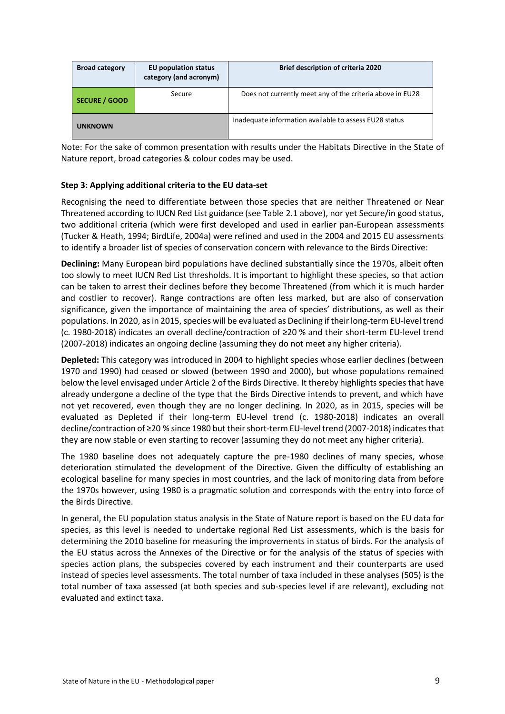| <b>Broad category</b> | <b>EU population status</b><br>category (and acronym) | <b>Brief description of criteria 2020</b>                 |
|-----------------------|-------------------------------------------------------|-----------------------------------------------------------|
| <b>SECURE / GOOD</b>  | Secure                                                | Does not currently meet any of the criteria above in EU28 |
| <b>UNKNOWN</b>        |                                                       | Inadequate information available to assess EU28 status    |

Note: For the sake of common presentation with results under the Habitats Directive in the State of Nature report, broad categories & colour codes may be used.

#### **Step 3: Applying additional criteria to the EU data-set**

Recognising the need to differentiate between those species that are neither Threatened or Near Threatened according to IUCN Red List guidance (see Table 2.1 above), nor yet Secure/in good status, two additional criteria (which were first developed and used in earlier pan-European assessments (Tucker & Heath, 1994; BirdLife, 2004a) were refined and used in the 2004 and 2015 EU assessments to identify a broader list of species of conservation concern with relevance to the Birds Directive:

**Declining:** Many European bird populations have declined substantially since the 1970s, albeit often too slowly to meet IUCN Red List thresholds. It is important to highlight these species, so that action can be taken to arrest their declines before they become Threatened (from which it is much harder and costlier to recover). Range contractions are often less marked, but are also of conservation significance, given the importance of maintaining the area of species' distributions, as well as their populations. In 2020, as in 2015, species will be evaluated as Declining if their long-term EU-level trend (c. 1980-2018) indicates an overall decline/contraction of ≥20 % and their short-term EU-level trend (2007-2018) indicates an ongoing decline (assuming they do not meet any higher criteria).

**Depleted:** This category was introduced in 2004 to highlight species whose earlier declines (between 1970 and 1990) had ceased or slowed (between 1990 and 2000), but whose populations remained below the level envisaged under Article 2 of the Birds Directive. It thereby highlights species that have already undergone a decline of the type that the Birds Directive intends to prevent, and which have not yet recovered, even though they are no longer declining. In 2020, as in 2015, species will be evaluated as Depleted if their long-term EU-level trend (c. 1980-2018) indicates an overall decline/contraction of ≥20 % since 1980 but their short-term EU-level trend (2007-2018) indicates that they are now stable or even starting to recover (assuming they do not meet any higher criteria).

The 1980 baseline does not adequately capture the pre-1980 declines of many species, whose deterioration stimulated the development of the Directive. Given the difficulty of establishing an ecological baseline for many species in most countries, and the lack of monitoring data from before the 1970s however, using 1980 is a pragmatic solution and corresponds with the entry into force of the Birds Directive.

In general, the EU population status analysis in the State of Nature report is based on the EU data for species, as this level is needed to undertake regional Red List assessments, which is the basis for determining the 2010 baseline for measuring the improvements in status of birds. For the analysis of the EU status across the Annexes of the Directive or for the analysis of the status of species with species action plans, the subspecies covered by each instrument and their counterparts are used instead of species level assessments. The total number of taxa included in these analyses (505) is the total number of taxa assessed (at both species and sub-species level if are relevant), excluding not evaluated and extinct taxa.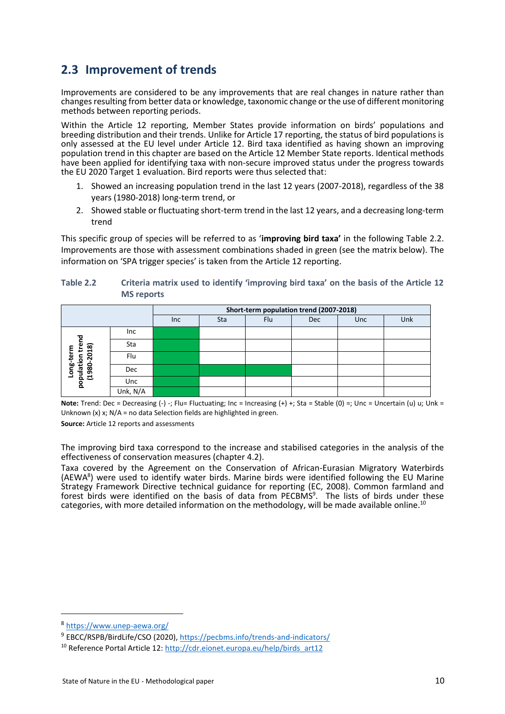## <span id="page-9-0"></span>**2.3 Improvement of trends**

Improvements are considered to be any improvements that are real changes in nature rather than changes resulting from better data or knowledge, taxonomic change or the use of different monitoring methods between reporting periods.

Within the Article 12 reporting, Member States provide information on birds' populations and breeding distribution and their trends. Unlike for Article 17 reporting, the status of bird populations is only assessed at the EU level under Article 12. Bird taxa identified as having shown an improving population trend in this chapter are based on the Article 12 Member State reports. Identical methods have been applied for identifying taxa with non-secure improved status under the progress towards the EU 2020 Target 1 evaluation. Bird reports were thus selected that:

- 1. Showed an increasing population trend in the last 12 years (2007-2018), regardless of the 38 years (1980-2018) long-term trend, or
- 2. Showed stable or fluctuating short-term trend in the last 12 years, and a decreasing long-term trend

This specific group of species will be referred to as '**improving bird taxa'** in the following Table 2.2. Improvements are those with assessment combinations shaded in green (see the matrix below). The information on 'SPA trigger species' is taken from the Article 12 reporting.

| Table 2.2 | Criteria matrix used to identify 'improving bird taxa' on the basis of the Article 12 |
|-----------|---------------------------------------------------------------------------------------|
|           | <b>MS</b> reports                                                                     |

|                         |          | Short-term population trend (2007-2018) |     |     |            |     |     |  |
|-------------------------|----------|-----------------------------------------|-----|-----|------------|-----|-----|--|
|                         |          | <b>Inc</b>                              | Sta | Flu | <b>Dec</b> | Unc | Unk |  |
|                         | Inc      |                                         |     |     |            |     |     |  |
| trend<br>(8)            | Sta      |                                         |     |     |            |     |     |  |
| ន<br>g-ter              | Flu      |                                         |     |     |            |     |     |  |
| population<br>0861<br>ō | Dec      |                                         |     |     |            |     |     |  |
|                         | Unc      |                                         |     |     |            |     |     |  |
|                         | Unk, N/A |                                         |     |     |            |     |     |  |

**Note:** Trend: Dec = Decreasing (-) -; Flu= Fluctuating; Inc = Increasing (+) +; Sta = Stable (0) =; Unc = Uncertain (u) u; Unk = Unknown (x) x;  $N/A$  = no data Selection fields are highlighted in green.

**Source:** Article 12 reports and assessments

The improving bird taxa correspond to the increase and stabilised categories in the analysis of the effectiveness of conservation measures (chapter 4.2).

Taxa covered by the Agreement on the Conservation of African-Eurasian Migratory Waterbirds (AEWA<sup>8</sup> ) were used to identify water birds. Marine birds were identified following the EU Marine Strategy Framework Directive technical guidance for reporting (EC, 2008). Common farmland and forest birds were identified on the basis of data from PECBMS<sup>9</sup>. The lists of birds under these categories, with more detailed information on the methodology, will be made available online.<sup>10</sup>

1

<sup>8</sup> <https://www.unep-aewa.org/>

<sup>&</sup>lt;sup>9</sup> EBCC/RSPB/BirdLife/CSO (2020),<https://pecbms.info/trends-and-indicators/>

<sup>&</sup>lt;sup>10</sup> Reference Portal Article 12: [http://cdr.eionet.europa.eu/help/birds\\_art12](http://cdr.eionet.europa.eu/help/birds_art12)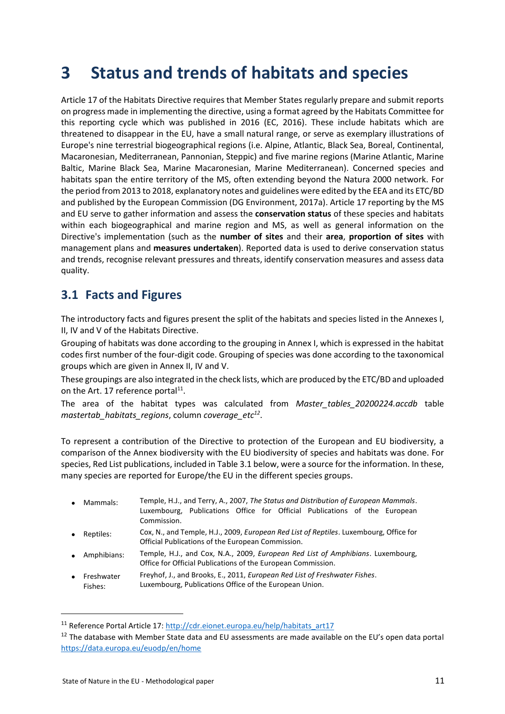# <span id="page-10-0"></span>**3 Status and trends of habitats and species**

Article 17 of the Habitats Directive requires that Member States regularly prepare and submit reports on progress made in implementing the directive, using a format agreed by the Habitats Committee for this reporting cycle which was published in 2016 (EC, 2016). These include habitats which are threatened to disappear in the EU, have a small natural range, or serve as exemplary illustrations of Europe's nine terrestrial biogeographical regions (i.e. Alpine, Atlantic, Black Sea, Boreal, Continental, Macaronesian, Mediterranean, Pannonian, Steppic) and five marine regions (Marine Atlantic, Marine Baltic, Marine Black Sea, Marine Macaronesian, Marine Mediterranean). Concerned species and habitats span the entire territory of the MS, often extending beyond the Natura 2000 network. For the period from 2013 to 2018, explanatory notes and guidelines were edited by the EEA and its ETC/BD and published by the European Commission (DG Environment, 2017a). Article 17 reporting by the MS and EU serve to gather information and assess the **conservation status** of these species and habitats within each biogeographical and marine region and MS, as well as general information on the Directive's implementation (such as the **number of sites** and their **area**, **proportion of sites** with management plans and **measures undertaken**). Reported data is used to derive conservation status and trends, recognise relevant pressures and threats, identify conservation measures and assess data quality.

## <span id="page-10-1"></span>**3.1 Facts and Figures**

The introductory facts and figures present the split of the habitats and species listed in the Annexes I, II, IV and V of the Habitats Directive.

Grouping of habitats was done according to the grouping in Annex I, which is expressed in the habitat codes first number of the four-digit code. Grouping of species was done according to the taxonomical groups which are given in Annex II, IV and V.

These groupings are also integrated in the check lists, which are produced by the ETC/BD and uploaded on the Art. 17 reference portal<sup>11</sup>.

The area of the habitat types was calculated from *Master\_tables\_20200224.accdb* table *mastertab\_habitats\_regions*, column *coverage\_etc<sup>12</sup>* .

To represent a contribution of the Directive to protection of the European and EU biodiversity, a comparison of the Annex biodiversity with the EU biodiversity of species and habitats was done. For species, Red List publications, included in Table 3.1 below, were a source for the information. In these, many species are reported for Europe/the EU in the different species groups.

- Mammals: Temple, H.J., and Terry, A., 2007, *The Status and Distribution of European Mammals*. Luxembourg, Publications Office for Official Publications of the European Commission.
- Reptiles: Cox, N., and Temple, H.J., 2009, *European Red List of Reptiles*. Luxembourg, Office for Official Publications of the European Commission.
- Amphibians: Temple, H.J., and Cox, N.A., 2009, *European Red List of Amphibians*. Luxembourg, Office for Official Publications of the European Commission.
- **Freshwater** Fishes: Freyhof, J., and Brooks, E., 2011, *European Red List of Freshwater Fishes*. Luxembourg, Publications Office of the European Union.

1

<sup>&</sup>lt;sup>11</sup> Reference Portal Article 17[: http://cdr.eionet.europa.eu/help/habitats\\_art17](http://cdr.eionet.europa.eu/help/habitats_art17)

<sup>&</sup>lt;sup>12</sup> The database with Member State data and EU assessments are made available on the EU's open data portal <https://data.europa.eu/euodp/en/home>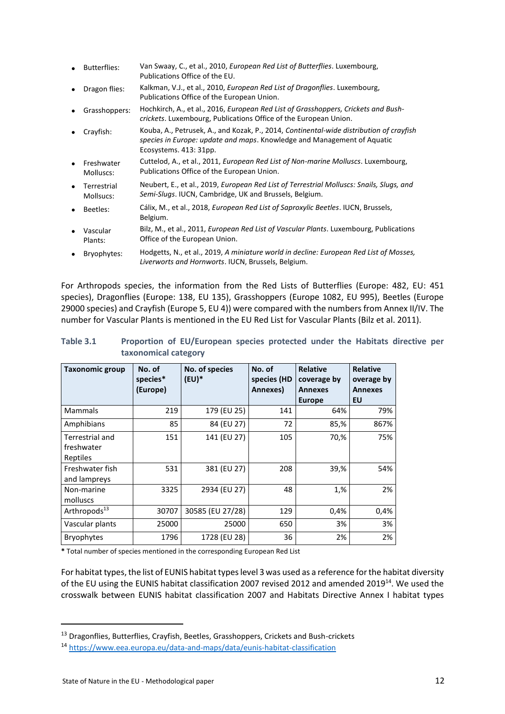|           | <b>Butterflies:</b>      | Van Swaay, C., et al., 2010, <i>European Red List of Butterflies</i> . Luxembourg,<br>Publications Office of the EU.                                                                         |
|-----------|--------------------------|----------------------------------------------------------------------------------------------------------------------------------------------------------------------------------------------|
|           | Dragon flies:            | Kalkman, V.J., et al., 2010, <i>European Red List of Dragonflies</i> . Luxembourg,<br>Publications Office of the European Union.                                                             |
|           | Grasshoppers:            | Hochkirch, A., et al., 2016, <i>European Red List of Grasshoppers, Crickets and Bush-</i><br>crickets. Luxembourg, Publications Office of the European Union.                                |
|           | Crayfish:                | Kouba, A., Petrusek, A., and Kozak, P., 2014, Continental-wide distribution of crayfish<br>species in Europe: update and maps. Knowledge and Management of Aquatic<br>Ecosystems. 413: 31pp. |
|           | Freshwater<br>Molluscs:  | Cuttelod, A., et al., 2011, European Red List of Non-marine Molluscs. Luxembourg,<br>Publications Office of the European Union.                                                              |
| $\bullet$ | Terrestrial<br>Mollsucs: | Neubert, E., et al., 2019, <i>European Red List of Terrestrial Molluscs: Snails, Slugs, and</i><br>Semi-Slugs. IUCN, Cambridge, UK and Brussels, Belgium.                                    |
|           | Beetles:                 | Cálix, M., et al., 2018, <i>European Red List of Saproxylic Beetles</i> . IUCN, Brussels,<br>Belgium.                                                                                        |
|           | Vascular<br>Plants:      | Bilz, M., et al., 2011, <i>European Red List of Vascular Plants</i> . Luxembourg, Publications<br>Office of the European Union.                                                              |
|           |                          |                                                                                                                                                                                              |

• Bryophytes: Hodgetts, N., et al., 2019, *A miniature world in decline: European Red List of Mosses, Liverworts and Hornworts*. IUCN, Brussels, Belgium.

For Arthropods species, the information from the Red Lists of Butterflies (Europe: 482, EU: 451 species), Dragonflies (Europe: 138, EU 135), Grasshoppers (Europe 1082, EU 995), Beetles (Europe 29000 species) and Crayfish (Europe 5, EU 4)) were compared with the numbers from Annex II/IV. The number for Vascular Plants is mentioned in the EU Red List for Vascular Plants (Bilz et al. 2011).

| Table 3.1 |                      | Proportion of EU/European species protected under the Habitats directive per |  |  |  |  |
|-----------|----------------------|------------------------------------------------------------------------------|--|--|--|--|
|           | taxonomical category |                                                                              |  |  |  |  |

| <b>Taxonomic group</b>                    | No. of<br>species*<br>(Europe) | No. of species<br>$(EU)^*$ | No. of<br>species (HD<br>Annexes) | <b>Relative</b><br>coverage by<br><b>Annexes</b><br><b>Europe</b> | <b>Relative</b><br>overage by<br><b>Annexes</b><br>EU |
|-------------------------------------------|--------------------------------|----------------------------|-----------------------------------|-------------------------------------------------------------------|-------------------------------------------------------|
| <b>Mammals</b>                            | 219                            | 179 (EU 25)                | 141                               | 64%                                                               | 79%                                                   |
| Amphibians                                | 85                             | 84 (EU 27)                 | 72                                | 85,%                                                              | 867%                                                  |
| Terrestrial and<br>freshwater<br>Reptiles | 151                            | 141 (EU 27)                | 105                               | 70,%                                                              | 75%                                                   |
| Freshwater fish<br>and lampreys           | 531                            | 381 (EU 27)                | 208                               | 39,%                                                              | 54%                                                   |
| Non-marine<br>molluscs                    | 3325                           | 2934 (EU 27)               | 48                                | 1,%                                                               | 2%                                                    |
| Arthropods <sup>13</sup>                  | 30707                          | 30585 (EU 27/28)           | 129                               | 0,4%                                                              | 0,4%                                                  |
| Vascular plants                           | 25000                          | 25000                      | 650                               | 3%                                                                | 3%                                                    |
| <b>Bryophytes</b>                         | 1796                           | 1728 (EU 28)               | 36                                | 2%                                                                | 2%                                                    |

**\*** Total number of species mentioned in the corresponding European Red List

For habitat types, the list of EUNIS habitat types level 3 was used as a reference for the habitat diversity of the EU using the EUNIS habitat classification 2007 revised 2012 and amended 2019<sup>14</sup>. We used the crosswalk between EUNIS habitat classification 2007 and Habitats Directive Annex I habitat types

**.** 

<sup>13</sup> Dragonflies, Butterflies, Crayfish, Beetles, Grasshoppers, Crickets and Bush-crickets

<sup>14</sup> <https://www.eea.europa.eu/data-and-maps/data/eunis-habitat-classification>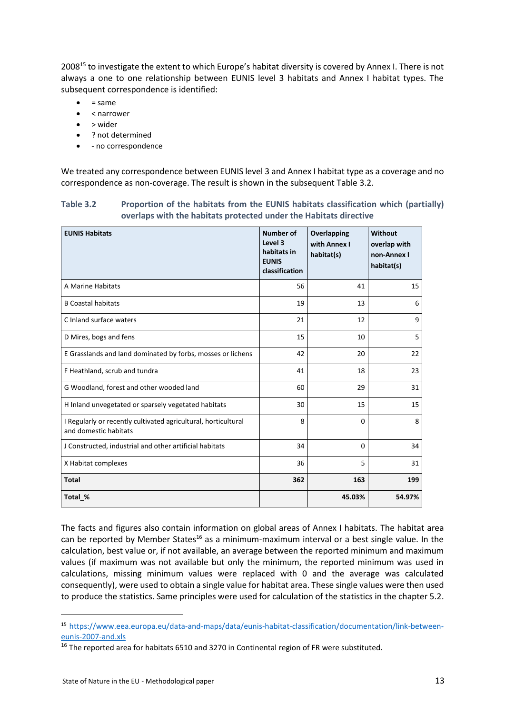2008<sup>15</sup> to investigate the extent to which Europe's habitat diversity is covered by Annex I. There is not always a one to one relationship between EUNIS level 3 habitats and Annex I habitat types. The subsequent correspondence is identified:

- $= same$
- < narrower
- > wider
- ? not determined
- - no correspondence

We treated any correspondence between EUNIS level 3 and Annex I habitat type as a coverage and no correspondence as non-coverage. The result is shown in the subsequent Table 3.2.

#### **Table 3.2 Proportion of the habitats from the EUNIS habitats classification which (partially) overlaps with the habitats protected under the Habitats directive**

| <b>EUNIS Habitats</b>                                                                   | Number of<br>Level 3<br>habitats in<br><b>EUNIS</b><br>classification | <b>Overlapping</b><br>with Annex I<br>habitat(s) | Without<br>overlap with<br>non-Annex I<br>habitat(s) |
|-----------------------------------------------------------------------------------------|-----------------------------------------------------------------------|--------------------------------------------------|------------------------------------------------------|
| A Marine Habitats                                                                       | 56                                                                    | 41                                               | 15                                                   |
| <b>B Coastal habitats</b>                                                               | 19                                                                    | 13                                               | 6                                                    |
| C Inland surface waters                                                                 | 21                                                                    | 12                                               | 9                                                    |
| D Mires, bogs and fens                                                                  | 15                                                                    | 10                                               | 5                                                    |
| E Grasslands and land dominated by forbs, mosses or lichens                             | 42                                                                    | 20                                               | 22                                                   |
| F Heathland, scrub and tundra                                                           | 41                                                                    | 18                                               | 23                                                   |
| G Woodland, forest and other wooded land                                                | 60                                                                    | 29                                               | 31                                                   |
| H Inland unvegetated or sparsely vegetated habitats                                     | 30                                                                    | 15                                               | 15                                                   |
| I Regularly or recently cultivated agricultural, horticultural<br>and domestic habitats | 8                                                                     | $\Omega$                                         | 8                                                    |
| J Constructed, industrial and other artificial habitats                                 | 34                                                                    | $\Omega$                                         | 34                                                   |
| X Habitat complexes                                                                     | 36                                                                    | 5                                                | 31                                                   |
| <b>Total</b>                                                                            | 362                                                                   | 163                                              | 199                                                  |
| Total %                                                                                 |                                                                       | 45.03%                                           | 54.97%                                               |

The facts and figures also contain information on global areas of Annex I habitats. The habitat area can be reported by Member States<sup>16</sup> as a minimum-maximum interval or a best single value. In the calculation, best value or, if not available, an average between the reported minimum and maximum values (if maximum was not available but only the minimum, the reported minimum was used in calculations, missing minimum values were replaced with 0 and the average was calculated consequently), were used to obtain a single value for habitat area. These single values were then used to produce the statistics. Same principles were used for calculation of the statistics in the chapter 5.2.

 $\overline{a}$ 

<sup>15</sup> [https://www.eea.europa.eu/data-and-maps/data/eunis-habitat-classification/documentation/link-between](https://www.eea.europa.eu/data-and-maps/data/eunis-habitat-classification/documentation/link-between-eunis-2007-and.xls)[eunis-2007-and.xls](https://www.eea.europa.eu/data-and-maps/data/eunis-habitat-classification/documentation/link-between-eunis-2007-and.xls)

<sup>&</sup>lt;sup>16</sup> The reported area for habitats 6510 and 3270 in Continental region of FR were substituted.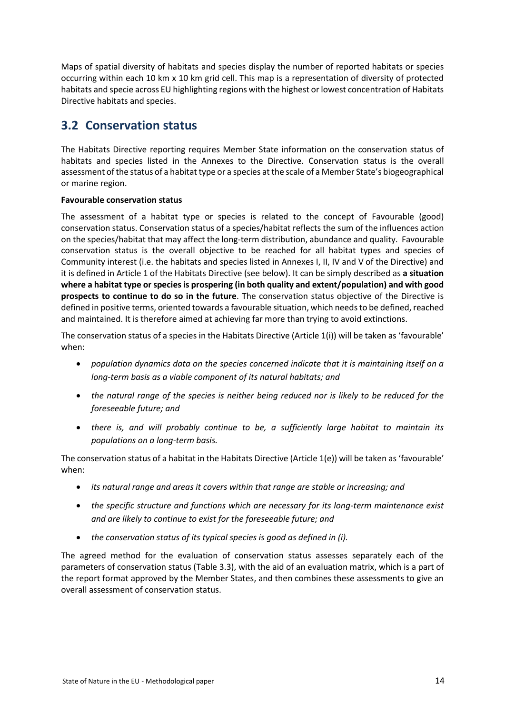Maps of spatial diversity of habitats and species display the number of reported habitats or species occurring within each 10 km x 10 km grid cell. This map is a representation of diversity of protected habitats and specie across EU highlighting regions with the highest or lowest concentration of Habitats Directive habitats and species.

## <span id="page-13-0"></span>**3.2 Conservation status**

The Habitats Directive reporting requires Member State information on the conservation status of habitats and species listed in the Annexes to the Directive. Conservation status is the overall assessment of the status of a habitat type or a species at the scale of a Member State's biogeographical or marine region.

#### **Favourable conservation status**

The assessment of a habitat type or species is related to the concept of Favourable (good) conservation status. Conservation status of a species/habitat reflects the sum of the influences action on the species/habitat that may affect the long-term distribution, abundance and quality. Favourable conservation status is the overall objective to be reached for all habitat types and species of Community interest (i.e. the habitats and species listed in Annexes I, II, IV and V of the Directive) and it is defined in Article 1 of the Habitats Directive (see below). It can be simply described as **a situation where a habitat type or species is prospering (in both quality and extent/population) and with good prospects to continue to do so in the future**. The conservation status objective of the Directive is defined in positive terms, oriented towards a favourable situation, which needs to be defined, reached and maintained. It is therefore aimed at achieving far more than trying to avoid extinctions.

The conservation status of a species in the Habitats Directive (Article 1(i)) will be taken as 'favourable' when:

- *population dynamics data on the species concerned indicate that it is maintaining itself on a long-term basis as a viable component of its natural habitats; and*
- *the natural range of the species is neither being reduced nor is likely to be reduced for the foreseeable future; and*
- *there is, and will probably continue to be, a sufficiently large habitat to maintain its populations on a long-term basis.*

The conservation status of a habitat in the Habitats Directive (Article 1(e)) will be taken as 'favourable' when:

- *its natural range and areas it covers within that range are stable or increasing; and*
- *the specific structure and functions which are necessary for its long-term maintenance exist and are likely to continue to exist for the foreseeable future; and*
- *the conservation status of its typical species is good as defined in (i).*

The agreed method for the evaluation of conservation status assesses separately each of the parameters of conservation status (Table 3.3), with the aid of an evaluation matrix, which is a part of the report format approved by the Member States, and then combines these assessments to give an overall assessment of conservation status.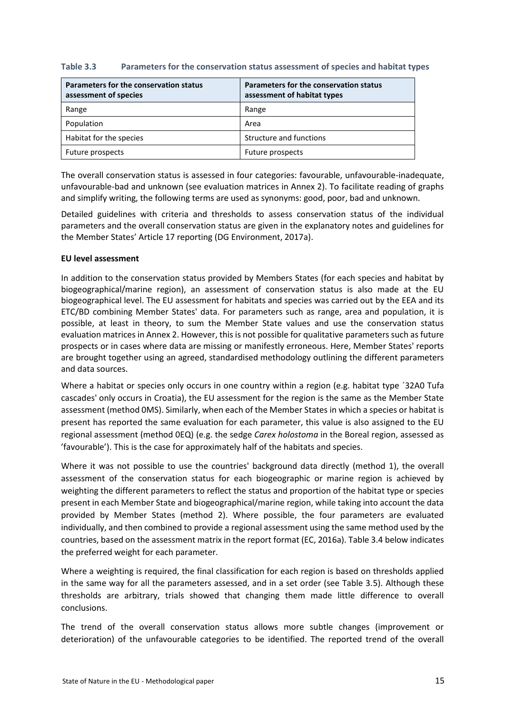| Table 3.3 | Parameters for the conservation status assessment of species and habitat types |  |  |
|-----------|--------------------------------------------------------------------------------|--|--|
|-----------|--------------------------------------------------------------------------------|--|--|

| Parameters for the conservation status<br>assessment of species | Parameters for the conservation status<br>assessment of habitat types |
|-----------------------------------------------------------------|-----------------------------------------------------------------------|
| Range                                                           | Range                                                                 |
| Population                                                      | Area                                                                  |
| Habitat for the species                                         | Structure and functions                                               |
| Future prospects                                                | Future prospects                                                      |

The overall conservation status is assessed in four categories: favourable, unfavourable-inadequate, unfavourable-bad and unknown (see evaluation matrices in Annex 2). To facilitate reading of graphs and simplify writing, the following terms are used as synonyms: good, poor, bad and unknown.

Detailed guidelines with criteria and thresholds to assess conservation status of the individual parameters and the overall conservation status are given in the explanatory notes and guidelines for the Member States' Article 17 reporting (DG Environment, 2017a).

#### **EU level assessment**

In addition to the conservation status provided by Members States (for each species and habitat by biogeographical/marine region), an assessment of conservation status is also made at the EU biogeographical level. The EU assessment for habitats and species was carried out by the EEA and its ETC/BD combining Member States' data. For parameters such as range, area and population, it is possible, at least in theory, to sum the Member State values and use the conservation status evaluation matrices in Annex 2. However, this is not possible for qualitative parameters such as future prospects or in cases where data are missing or manifestly erroneous. Here, Member States' reports are brought together using an agreed, standardised methodology outlining the different parameters and data sources.

Where a habitat or species only occurs in one country within a region (e.g. habitat type ´32A0 Tufa cascades' only occurs in Croatia), the EU assessment for the region is the same as the Member State assessment (method 0MS). Similarly, when each of the Member States in which a species or habitat is present has reported the same evaluation for each parameter, this value is also assigned to the EU regional assessment (method 0EQ) (e.g. the sedge *Carex holostoma* in the Boreal region, assessed as 'favourable'). This is the case for approximately half of the habitats and species.

Where it was not possible to use the countries' background data directly (method 1), the overall assessment of the conservation status for each biogeographic or marine region is achieved by weighting the different parameters to reflect the status and proportion of the habitat type or species present in each Member State and biogeographical/marine region, while taking into account the data provided by Member States (method 2). Where possible, the four parameters are evaluated individually, and then combined to provide a regional assessment using the same method used by the countries, based on the assessment matrix in the report format (EC, 2016a). Table 3.4 below indicates the preferred weight for each parameter.

Where a weighting is required, the final classification for each region is based on thresholds applied in the same way for all the parameters assessed, and in a set order (see Table 3.5). Although these thresholds are arbitrary, trials showed that changing them made little difference to overall conclusions.

The trend of the overall conservation status allows more subtle changes (improvement or deterioration) of the unfavourable categories to be identified. The reported trend of the overall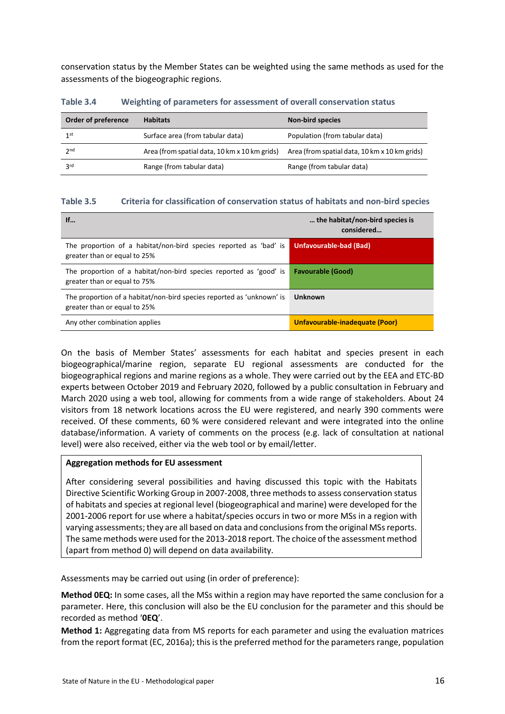conservation status by the Member States can be weighted using the same methods as used for the assessments of the biogeographic regions.

| Order of preference | <b>Habitats</b>                               | <b>Non-bird species</b>                       |
|---------------------|-----------------------------------------------|-----------------------------------------------|
| 1 <sup>st</sup>     | Surface area (from tabular data)              | Population (from tabular data)                |
| 2 <sub>nd</sub>     | Area (from spatial data, 10 km x 10 km grids) | Area (from spatial data, 10 km x 10 km grids) |
| 3 <sup>rd</sup>     | Range (from tabular data)                     | Range (from tabular data)                     |

**Table 3.4 Weighting of parameters for assessment of overall conservation status**

#### **Table 3.5 Criteria for classification of conservation status of habitats and non-bird species**

| If                                                                                                    | the habitat/non-bird species is<br>considered |
|-------------------------------------------------------------------------------------------------------|-----------------------------------------------|
| The proportion of a habitat/non-bird species reported as 'bad' is<br>greater than or equal to 25%     | Unfavourable-bad (Bad)                        |
| The proportion of a habitat/non-bird species reported as 'good' is<br>greater than or equal to 75%    | <b>Favourable (Good)</b>                      |
| The proportion of a habitat/non-bird species reported as 'unknown' is<br>greater than or equal to 25% | <b>Unknown</b>                                |
| Any other combination applies                                                                         | Unfavourable-inadequate (Poor)                |

On the basis of Member States' assessments for each habitat and species present in each biogeographical/marine region, separate EU regional assessments are conducted for the biogeographical regions and marine regions as a whole. They were carried out by the EEA and ETC-BD experts between October 2019 and February 2020, followed by a public consultation in February and March 2020 using a web tool, allowing for comments from a wide range of stakeholders. About 24 visitors from 18 network locations across the EU were registered, and nearly 390 comments were received. Of these comments, 60 % were considered relevant and were integrated into the online database/information. A variety of comments on the process (e.g. lack of consultation at national level) were also received, either via the web tool or by email/letter.

#### **Aggregation methods for EU assessment**

After considering several possibilities and having discussed this topic with the Habitats Directive Scientific Working Group in 2007-2008, three methods to assess conservation status of habitats and species at regional level (biogeographical and marine) were developed for the 2001-2006 report for use where a habitat/species occurs in two or more MSs in a region with varying assessments; they are all based on data and conclusions from the original MSs reports. The same methods were used for the 2013-2018 report. The choice of the assessment method (apart from method 0) will depend on data availability.

Assessments may be carried out using (in order of preference):

**Method 0EQ:** In some cases, all the MSs within a region may have reported the same conclusion for a parameter. Here, this conclusion will also be the EU conclusion for the parameter and this should be recorded as method '**0EQ**'.

**Method 1:** Aggregating data from MS reports for each parameter and using the evaluation matrices from the report format (EC, 2016a); this is the preferred method for the parameters range, population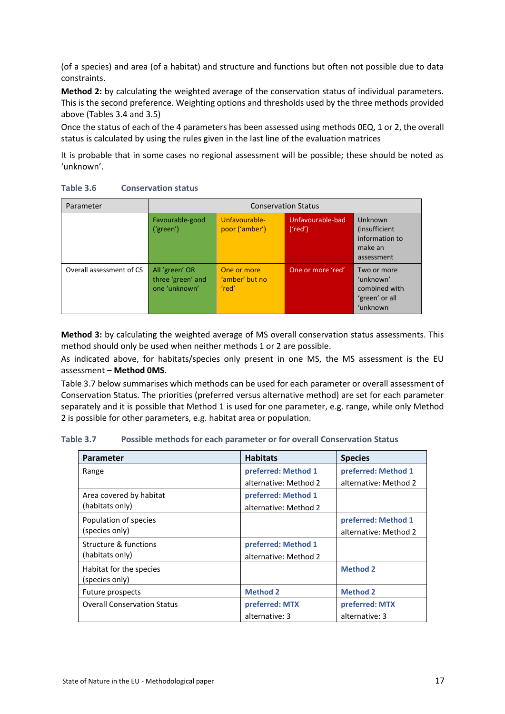(of a species) and area (of a habitat) and structure and functions but often not possible due to data constraints.

**Method 2:** by calculating the weighted average of the conservation status of individual parameters. This is the second preference. Weighting options and thresholds used by the three methods provided above (Tables 3.4 and 3.5)

Once the status of each of the 4 parameters has been assessed using methods 0EQ, 1 or 2, the overall status is calculated by using the rules given in the last line of the evaluation matrices

It is probable that in some cases no regional assessment will be possible; these should be noted as 'unknown'.

| Parameter                | <b>Conservation Status</b>                           |                                        |                             |                                                                         |  |  |  |
|--------------------------|------------------------------------------------------|----------------------------------------|-----------------------------|-------------------------------------------------------------------------|--|--|--|
|                          | Favourable-good<br>('green')                         | Unfavourable-<br>poor ('amber')        | Unfavourable-bad<br>('red') | Unknown<br>(insufficient)<br>information to<br>make an<br>assessment    |  |  |  |
| Overall assessment of CS | All 'green' OR<br>three 'green' and<br>one 'unknown' | One or more<br>'amber' but no<br>'red' | One or more 'red'           | Two or more<br>'unknown'<br>combined with<br>'green' or all<br>'unknown |  |  |  |

#### **Table 3.6 Conservation status**

**Method 3:** by calculating the weighted average of MS overall conservation status assessments. This method should only be used when neither methods 1 or 2 are possible.

As indicated above, for habitats/species only present in one MS, the MS assessment is the EU assessment – **Method 0MS**.

Table 3.7 below summarises which methods can be used for each parameter or overall assessment of Conservation Status. The priorities (preferred versus alternative method) are set for each parameter separately and it is possible that Method 1 is used for one parameter, e.g. range, while only Method 2 is possible for other parameters, e.g. habitat area or population.

**Table 3.7 Possible methods for each parameter or for overall Conservation Status**

| <b>Parameter</b>                   | <b>Habitats</b>       | <b>Species</b>        |
|------------------------------------|-----------------------|-----------------------|
| Range                              | preferred: Method 1   | preferred: Method 1   |
|                                    | alternative: Method 2 | alternative: Method 2 |
| Area covered by habitat            | preferred: Method 1   |                       |
| (habitats only)                    | alternative: Method 2 |                       |
| Population of species              |                       | preferred: Method 1   |
| (species only)                     |                       | alternative: Method 2 |
| Structure & functions              | preferred: Method 1   |                       |
| (habitats only)                    | alternative: Method 2 |                       |
| Habitat for the species            |                       | <b>Method 2</b>       |
| (species only)                     |                       |                       |
| Future prospects                   | <b>Method 2</b>       | <b>Method 2</b>       |
| <b>Overall Conservation Status</b> | preferred: MTX        | preferred: MTX        |
|                                    | alternative: 3        | alternative: 3        |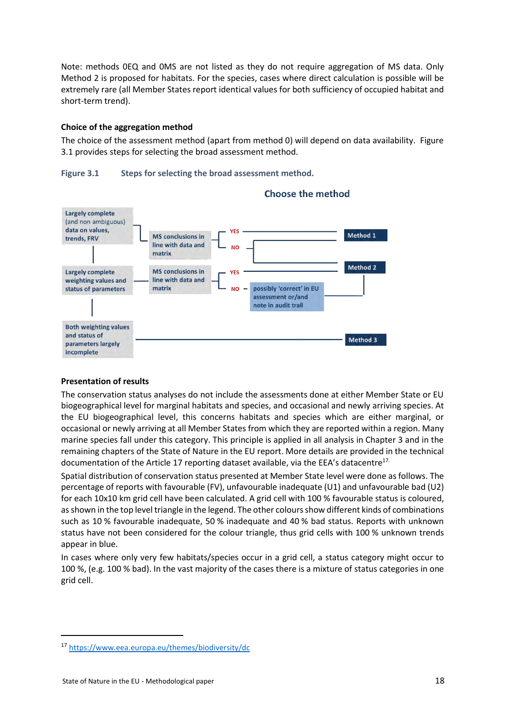Note: methods 0EQ and 0MS are not listed as they do not require aggregation of MS data. Only Method 2 is proposed for habitats. For the species, cases where direct calculation is possible will be extremely rare (all Member States report identical values for both sufficiency of occupied habitat and short-term trend).

#### **Choice of the aggregation method**

The choice of the assessment method (apart from method 0) will depend on data availability. Figure 3.1 provides steps for selecting the broad assessment method.





**Choose the method** 

#### **Presentation of results**

The conservation status analyses do not include the assessments done at either Member State or EU biogeographical level for marginal habitats and species, and occasional and newly arriving species. At the EU biogeographical level, this concerns habitats and species which are either marginal, or occasional or newly arriving at all Member States from which they are reported within a region. Many marine species fall under this category. This principle is applied in all analysis in Chapter 3 and in the remaining chapters of the State of Nature in the EU report. More details are provided in the technical documentation of the Article 17 reporting dataset available, via the EEA's datacentre<sup>17.</sup>

Spatial distribution of conservation status presented at Member State level were done as follows. The percentage of reports with favourable (FV), unfavourable inadequate (U1) and unfavourable bad (U2) for each 10x10 km grid cell have been calculated. A grid cell with 100 % favourable status is coloured, as shown in the top level triangle in the legend. The other colours show different kinds of combinations such as 10 % favourable inadequate, 50 % inadequate and 40 % bad status. Reports with unknown status have not been considered for the colour triangle, thus grid cells with 100 % unknown trends appear in blue.

In cases where only very few habitats/species occur in a grid cell, a status category might occur to 100 %, (e.g. 100 % bad). In the vast majority of the cases there is a mixture of status categories in one grid cell.

**.** 

<sup>17</sup> <https://www.eea.europa.eu/themes/biodiversity/dc>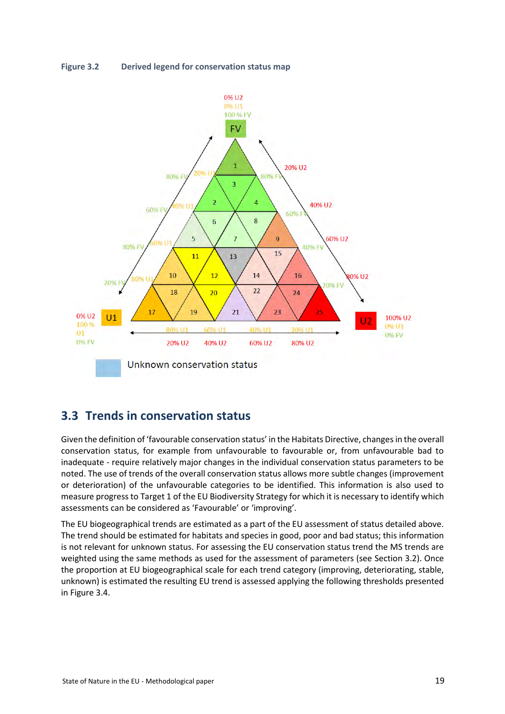



## <span id="page-18-0"></span>**3.3 Trends in conservation status**

Given the definition of 'favourable conservation status' in the Habitats Directive, changes in the overall conservation status, for example from unfavourable to favourable or, from unfavourable bad to inadequate - require relatively major changes in the individual conservation status parameters to be noted. The use of trends of the overall conservation status allows more subtle changes (improvement or deterioration) of the unfavourable categories to be identified. This information is also used to measure progress to Target 1 of the EU Biodiversity Strategy for which it is necessary to identify which assessments can be considered as 'Favourable' or 'improving'.

The EU biogeographical trends are estimated as a part of the EU assessment of status detailed above. The trend should be estimated for habitats and species in good, poor and bad status; this information is not relevant for unknown status. For assessing the EU conservation status trend the MS trends are weighted using the same methods as used for the assessment of parameters (see Section 3.2). Once the proportion at EU biogeographical scale for each trend category (improving, deteriorating, stable, unknown) is estimated the resulting EU trend is assessed applying the following thresholds presented in Figure 3.4.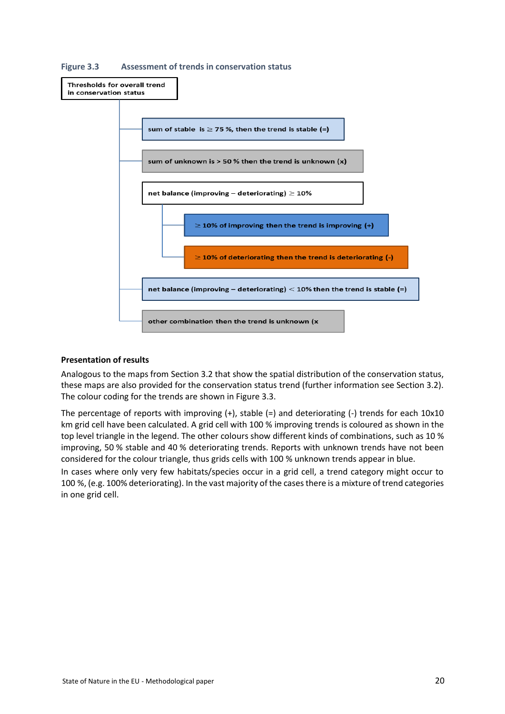

**Figure 3.3 Assessment of trends in conservation status**

#### **Presentation of results**

Analogous to the maps from Section 3.2 that show the spatial distribution of the conservation status, these maps are also provided for the conservation status trend (further information see Section 3.2). The colour coding for the trends are shown in Figure 3.3.

The percentage of reports with improving  $(+)$ , stable  $(=)$  and deteriorating  $(-)$  trends for each 10x10 km grid cell have been calculated. A grid cell with 100 % improving trends is coloured as shown in the top level triangle in the legend. The other colours show different kinds of combinations, such as 10 % improving, 50 % stable and 40 % deteriorating trends. Reports with unknown trends have not been considered for the colour triangle, thus grids cells with 100 % unknown trends appear in blue.

In cases where only very few habitats/species occur in a grid cell, a trend category might occur to 100 %, (e.g. 100% deteriorating). In the vast majority of the cases there is a mixture of trend categories in one grid cell.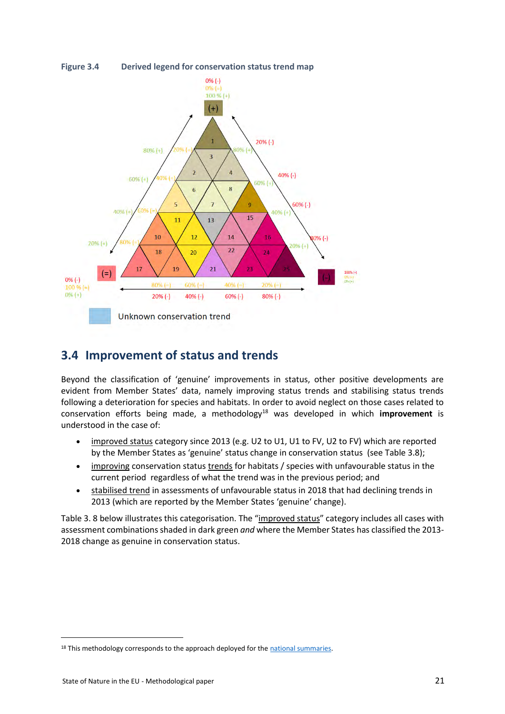



## <span id="page-20-0"></span>**3.4 Improvement of status and trends**

Beyond the classification of 'genuine' improvements in status, other positive developments are evident from Member States' data, namely improving status trends and stabilising status trends following a deterioration for species and habitats. In order to avoid neglect on those cases related to conservation efforts being made, a methodology<sup>18</sup> was developed in which **improvement** is understood in the case of:

- improved status category since 2013 (e.g. U2 to U1, U1 to FV, U2 to FV) which are reported by the Member States as 'genuine' status change in conservation status (see Table 3.8);
- improving conservation status trends for habitats / species with unfavourable status in the current period regardless of what the trend was in the previous period; and
- stabilised trend in assessments of unfavourable status in 2018 that had declining trends in 2013 (which are reported by the Member States 'genuine' change).

Table 3. 8 below illustrates this categorisation. The "improved status" category includes all cases with assessment combinations shaded in dark green *and* where the Member States has classified the 2013- 2018 change as genuine in conservation status.

**.** 

<sup>&</sup>lt;sup>18</sup> This methodology corresponds to the approach deployed for th[e national summaries.](https://www.eea.europa.eu/themes/biodiversity/state-of-nature-in-the-eu/article-17-national-summary-dashboards/conservation-status-and-trends)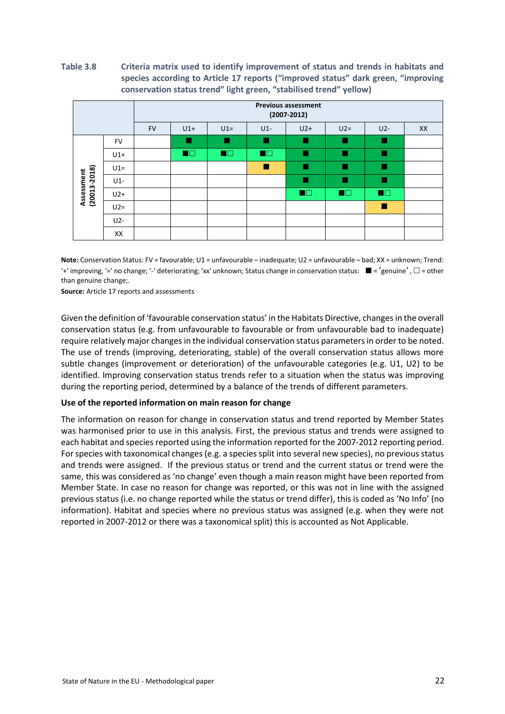#### **Table 3.8 Criteria matrix used to identify improvement of status and trends in habitats and species according to Article 17 reports ("improved status" dark green, "improving conservation status trend" light green, "stabilised trend" yellow)**

|                            |           | <b>Previous assessment</b><br>$(2007 - 2012)$ |                |                |                |                |                |                |    |
|----------------------------|-----------|-----------------------------------------------|----------------|----------------|----------------|----------------|----------------|----------------|----|
|                            |           | <b>FV</b>                                     | $U1+$          | $U1=$          | $U1-$          | $U2+$          | $U2=$          | $U2-$          | XX |
|                            | <b>FV</b> |                                               | ٠              |                |                | m              |                | ٠              |    |
|                            | $U1+$     |                                               | $\blacksquare$ | $\blacksquare$ | $\blacksquare$ |                |                | ٠              |    |
|                            | $U1=$     |                                               |                |                | п              | п              |                | п              |    |
|                            | $U1-$     |                                               |                |                |                | ш              |                | ٠              |    |
| Assessment<br>(20013-2018) | $U2+$     |                                               |                |                |                | $\blacksquare$ | $\blacksquare$ | $\blacksquare$ |    |
|                            | $U2=$     |                                               |                |                |                |                |                | п              |    |
|                            | U2-       |                                               |                |                |                |                |                |                |    |
|                            | XX        |                                               |                |                |                |                |                |                |    |

**Note:** Conservation Status: FV = favourable; U1 = unfavourable – inadequate; U2 = unfavourable – bad; XX = unknown; Trend: '+' improving, '=' no change; '-' deteriorating; 'xx' unknown; Status change in conservation status:  $\blacksquare$  = 'genuine',  $\Box$  = other than genuine change;.

**Source:** Article 17 reports and assessments

Given the definition of 'favourable conservation status' in the Habitats Directive, changes in the overall conservation status (e.g. from unfavourable to favourable or from unfavourable bad to inadequate) require relatively major changes in the individual conservation status parameters in order to be noted. The use of trends (improving, deteriorating, stable) of the overall conservation status allows more subtle changes (improvement or deterioration) of the unfavourable categories (e.g. U1, U2) to be identified. Improving conservation status trends refer to a situation when the status was improving during the reporting period, determined by a balance of the trends of different parameters.

#### **Use of the reported information on main reason for change**

The information on reason for change in conservation status and trend reported by Member States was harmonised prior to use in this analysis. First, the previous status and trends were assigned to each habitat and species reported using the information reported for the 2007-2012 reporting period. For species with taxonomical changes (e.g. a species split into several new species), no previous status and trends were assigned. If the previous status or trend and the current status or trend were the same, this was considered as 'no change' even though a main reason might have been reported from Member State. In case no reason for change was reported, or this was not in line with the assigned previous status (i.e. no change reported while the status or trend differ), this is coded as 'No Info' (no information). Habitat and species where no previous status was assigned (e.g. when they were not reported in 2007-2012 or there was a taxonomical split) this is accounted as Not Applicable.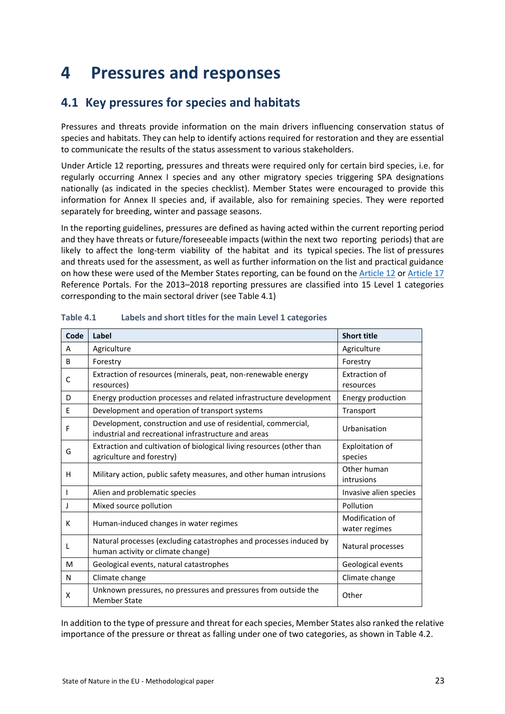# <span id="page-22-0"></span>**4 Pressures and responses**

## <span id="page-22-1"></span>**4.1 Key pressures for species and habitats**

Pressures and threats provide information on the main drivers influencing conservation status of species and habitats. They can help to identify actions required for restoration and they are essential to communicate the results of the status assessment to various stakeholders.

Under Article 12 reporting, pressures and threats were required only for certain bird species, i.e. for regularly occurring Annex I species and any other migratory species triggering SPA designations nationally (as indicated in the species checklist). Member States were encouraged to provide this information for Annex II species and, if available, also for remaining species. They were reported separately for breeding, winter and passage seasons.

In the reporting guidelines, pressures are defined as having acted within the current reporting period and they have threats or future/foreseeable impacts (within the next two reporting periods) that are likely to affect the long-term viability of the habitat and its typical species. The list of pressures and threats used for the assessment, as well as further information on the list and practical guidance on how these were used of the Member States reporting, can be found on th[e Article 12](http://cdr.eionet.europa.eu/help/birds_art12) o[r Article 17](http://cdr.eionet.europa.eu/help/habitats_art17) Reference Portals. For the 2013–2018 reporting pressures are classified into 15 Level 1 categories corresponding to the main sectoral driver (see Table 4.1)

| Code         | Label                                                                                                                 | <b>Short title</b>               |
|--------------|-----------------------------------------------------------------------------------------------------------------------|----------------------------------|
| A            | Agriculture                                                                                                           | Agriculture                      |
| <sub>B</sub> | Forestry                                                                                                              | Forestry                         |
| C            | Extraction of resources (minerals, peat, non-renewable energy<br>resources)                                           | Extraction of<br>resources       |
| D            | Energy production processes and related infrastructure development                                                    | Energy production                |
| E            | Development and operation of transport systems                                                                        | Transport                        |
| F            | Development, construction and use of residential, commercial,<br>industrial and recreational infrastructure and areas | Urbanisation                     |
| G            | Extraction and cultivation of biological living resources (other than<br>agriculture and forestry)                    | Exploitation of<br>species       |
| н            | Military action, public safety measures, and other human intrusions                                                   | Other human<br>intrusions        |
|              | Alien and problematic species                                                                                         | Invasive alien species           |
| J            | Mixed source pollution                                                                                                | Pollution                        |
| К            | Human-induced changes in water regimes                                                                                | Modification of<br>water regimes |
| L            | Natural processes (excluding catastrophes and processes induced by<br>human activity or climate change)               | Natural processes                |
| м            | Geological events, natural catastrophes                                                                               | Geological events                |
| N            | Climate change                                                                                                        | Climate change                   |
| x            | Unknown pressures, no pressures and pressures from outside the<br><b>Member State</b>                                 | Other                            |

**Table 4.1 Labels and short titles for the main Level 1 categories** 

In addition to the type of pressure and threat for each species, Member States also ranked the relative importance of the pressure or threat as falling under one of two categories, as shown in Table 4.2.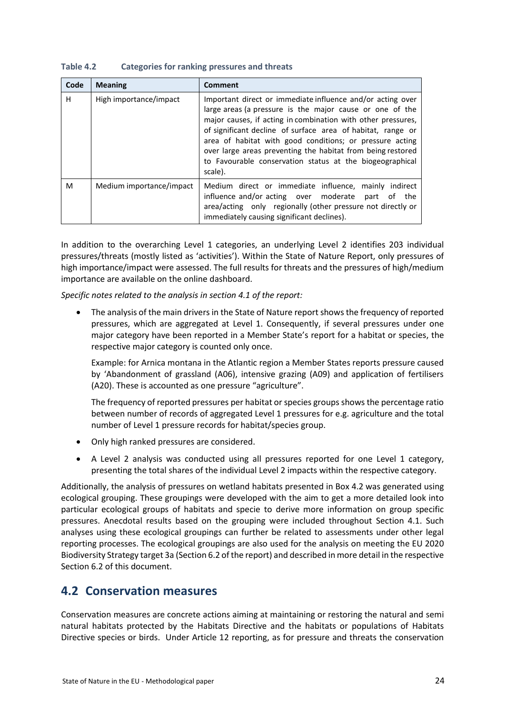| Table 4.2 | <b>Categories for ranking pressures and threats</b> |  |  |  |
|-----------|-----------------------------------------------------|--|--|--|
|-----------|-----------------------------------------------------|--|--|--|

| Code | <b>Meaning</b>           | Comment                                                                                                                                                                                                                                                                                                                                                                                                                                                 |
|------|--------------------------|---------------------------------------------------------------------------------------------------------------------------------------------------------------------------------------------------------------------------------------------------------------------------------------------------------------------------------------------------------------------------------------------------------------------------------------------------------|
| н    | High importance/impact   | Important direct or immediate influence and/or acting over<br>large areas (a pressure is the major cause or one of the<br>major causes, if acting in combination with other pressures,<br>of significant decline of surface area of habitat, range or<br>area of habitat with good conditions; or pressure acting<br>over large areas preventing the habitat from being restored<br>to Favourable conservation status at the biogeographical<br>scale). |
| м    | Medium importance/impact | Medium direct or immediate influence, mainly indirect<br>influence and/or acting over moderate part of<br>the<br>area/acting only regionally (other pressure not directly or<br>immediately causing significant declines).                                                                                                                                                                                                                              |

In addition to the overarching Level 1 categories, an underlying Level 2 identifies 203 individual pressures/threats (mostly listed as 'activities'). Within the State of Nature Report, only pressures of high importance/impact were assessed. The full results for threats and the pressures of high/medium importance are available on the online dashboard.

*Specific notes related to the analysis in section 4.1 of the report:*

• The analysis of the main drivers in the State of Nature report shows the frequency of reported pressures, which are aggregated at Level 1. Consequently, if several pressures under one major category have been reported in a Member State's report for a habitat or species, the respective major category is counted only once.

Example: for Arnica montana in the Atlantic region a Member States reports pressure caused by 'Abandonment of grassland (A06), intensive grazing (A09) and application of fertilisers (A20). These is accounted as one pressure "agriculture".

The frequency of reported pressures per habitat or species groups shows the percentage ratio between number of records of aggregated Level 1 pressures for e.g. agriculture and the total number of Level 1 pressure records for habitat/species group.

- Only high ranked pressures are considered.
- A Level 2 analysis was conducted using all pressures reported for one Level 1 category, presenting the total shares of the individual Level 2 impacts within the respective category.

Additionally, the analysis of pressures on wetland habitats presented in Box 4.2 was generated using ecological grouping. These groupings were developed with the aim to get a more detailed look into particular ecological groups of habitats and specie to derive more information on group specific pressures. Anecdotal results based on the grouping were included throughout Section 4.1. Such analyses using these ecological groupings can further be related to assessments under other legal reporting processes. The ecological groupings are also used for the analysis on meeting the EU 2020 Biodiversity Strategy target 3a (Section 6.2 of the report) and described in more detail in the respective Section 6.2 of this document.

## <span id="page-23-0"></span>**4.2 Conservation measures**

Conservation measures are concrete actions aiming at maintaining or restoring the natural and semi natural habitats protected by the Habitats Directive and the habitats or populations of Habitats Directive species or birds. Under Article 12 reporting, as for pressure and threats the conservation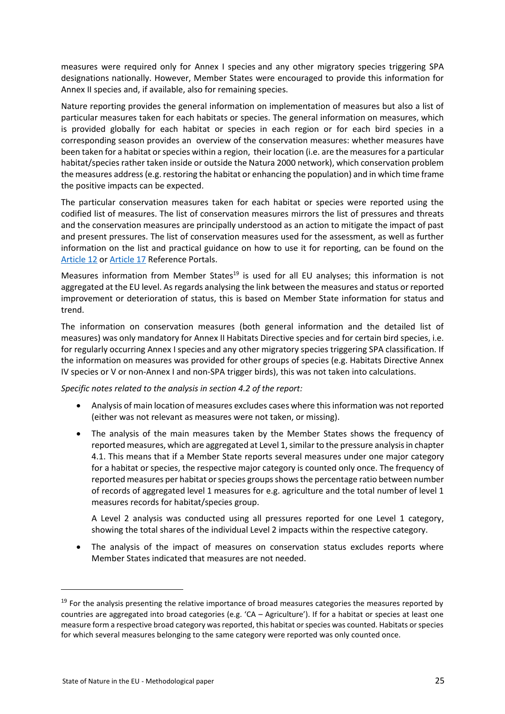measures were required only for Annex I species and any other migratory species triggering SPA designations nationally. However, Member States were encouraged to provide this information for Annex II species and, if available, also for remaining species.

Nature reporting provides the general information on implementation of measures but also a list of particular measures taken for each habitats or species. The general information on measures, which is provided globally for each habitat or species in each region or for each bird species in a corresponding season provides an overview of the conservation measures: whether measures have been taken for a habitat or species within a region, their location (i.e. are the measures for a particular habitat/species rather taken inside or outside the Natura 2000 network), which conservation problem the measures address (e.g. restoring the habitat or enhancing the population) and in which time frame the positive impacts can be expected.

The particular conservation measures taken for each habitat or species were reported using the codified list of measures. The list of conservation measures mirrors the list of pressures and threats and the conservation measures are principally understood as an action to mitigate the impact of past and present pressures. The list of conservation measures used for the assessment, as well as further information on the list and practical guidance on how to use it for reporting, can be found on the [Article 12](http://cdr.eionet.europa.eu/help/birds_art12) or [Article 17](http://cdr.eionet.europa.eu/help/habitats_art17) Reference Portals.

Measures information from Member States<sup>19</sup> is used for all EU analyses: this information is not aggregated at the EU level. As regards analysing the link between the measures and status or reported improvement or deterioration of status, this is based on Member State information for status and trend.

The information on conservation measures (both general information and the detailed list of measures) was only mandatory for Annex II Habitats Directive species and for certain bird species, i.e. for regularly occurring Annex I species and any other migratory species triggering SPA classification. If the information on measures was provided for other groups of species (e.g. Habitats Directive Annex IV species or V or non-Annex I and non-SPA trigger birds), this was not taken into calculations.

#### *Specific notes related to the analysis in section 4.2 of the report:*

- Analysis of main location of measures excludes cases where this information was not reported (either was not relevant as measures were not taken, or missing).
- The analysis of the main measures taken by the Member States shows the frequency of reported measures, which are aggregated at Level 1, similar to the pressure analysis in chapter 4.1. This means that if a Member State reports several measures under one major category for a habitat or species, the respective major category is counted only once. The frequency of reported measures per habitat or species groups shows the percentage ratio between number of records of aggregated level 1 measures for e.g. agriculture and the total number of level 1 measures records for habitat/species group.

A Level 2 analysis was conducted using all pressures reported for one Level 1 category, showing the total shares of the individual Level 2 impacts within the respective category.

The analysis of the impact of measures on conservation status excludes reports where Member States indicated that measures are not needed.

1

<sup>&</sup>lt;sup>19</sup> For the analysis presenting the relative importance of broad measures categories the measures reported by countries are aggregated into broad categories (e.g. 'CA – Agriculture'). If for a habitat or species at least one measure form a respective broad category was reported, this habitat or species was counted. Habitats or species for which several measures belonging to the same category were reported was only counted once.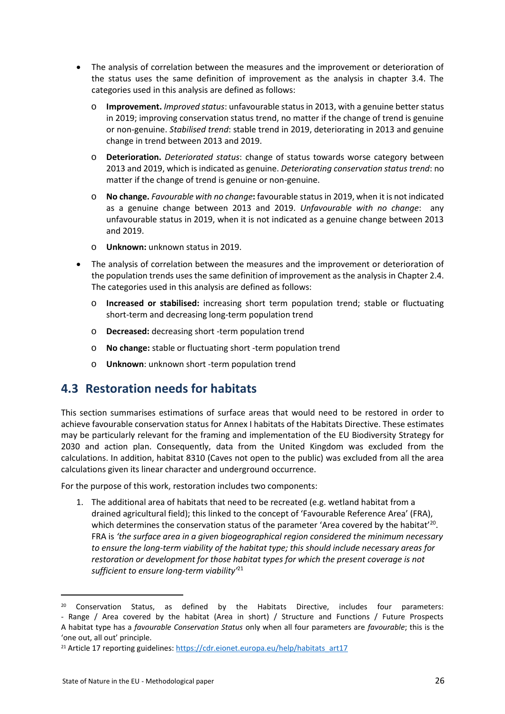- The analysis of correlation between the measures and the improvement or deterioration of the status uses the same definition of improvement as the analysis in chapter 3.4. The categories used in this analysis are defined as follows:
	- o **Improvement.** *Improved status*: unfavourable status in 2013, with a genuine better status in 2019; improving conservation status trend, no matter if the change of trend is genuine or non-genuine. *Stabilised trend*: stable trend in 2019, deteriorating in 2013 and genuine change in trend between 2013 and 2019.
	- o **Deterioration.** *Deteriorated status*: change of status towards worse category between 2013 and 2019, which is indicated as genuine. *Deteriorating conservation status trend*: no matter if the change of trend is genuine or non-genuine.
	- o **No change.** *Favourable with no change***:** favourable status in 2019, when it is not indicated as a genuine change between 2013 and 2019. *Unfavourable with no change*: any unfavourable status in 2019, when it is not indicated as a genuine change between 2013 and 2019.
	- o **Unknown:** unknown status in 2019.
- The analysis of correlation between the measures and the improvement or deterioration of the population trends uses the same definition of improvement as the analysis in Chapter 2.4. The categories used in this analysis are defined as follows:
	- o **Increased or stabilised:** increasing short term population trend; stable or fluctuating short-term and decreasing long-term population trend
	- o **Decreased:** decreasing short -term population trend
	- o **No change:** stable or fluctuating short -term population trend
	- o **Unknown**: unknown short -term population trend

## <span id="page-25-0"></span>**4.3 Restoration needs for habitats**

This section summarises estimations of surface areas that would need to be restored in order to achieve favourable conservation status for Annex I habitats of the Habitats Directive. These estimates may be particularly relevant for the framing and implementation of the EU Biodiversity Strategy for 2030 and action plan. Consequently, data from the United Kingdom was excluded from the calculations. In addition, habitat 8310 (Caves not open to the public) was excluded from all the area calculations given its linear character and underground occurrence.

For the purpose of this work, restoration includes two components:

1. The additional area of habitats that need to be recreated (e.g. wetland habitat from a drained agricultural field); this linked to the concept of 'Favourable Reference Area' (FRA), which determines the conservation status of the parameter 'Area covered by the habitat'<sup>20</sup>. FRA is *'the surface area in a given biogeographical region considered the minimum necessary to ensure the long-term viability of the habitat type; this should include necessary areas for restoration or development for those habitat types for which the present coverage is not sufficient to ensure long-term viability'*<sup>21</sup>

**.** 

<sup>&</sup>lt;sup>20</sup> Conservation Status, as defined by the Habitats Directive, includes four parameters: - Range / Area covered by the habitat (Area in short) / Structure and Functions / Future Prospects A habitat type has a *favourable Conservation Status* only when all four parameters are *favourable*; this is the 'one out, all out' principle.

<sup>&</sup>lt;sup>21</sup> Article 17 reporting guidelines: [https://cdr.eionet.europa.eu/help/habitats\\_art17](https://cdr.eionet.europa.eu/help/habitats_art17)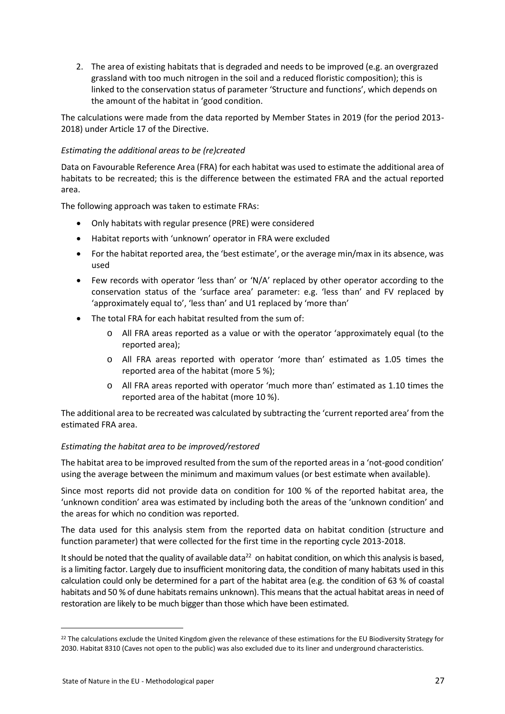2. The area of existing habitats that is degraded and needs to be improved (e.g. an overgrazed grassland with too much nitrogen in the soil and a reduced floristic composition); this is linked to the conservation status of parameter 'Structure and functions', which depends on the amount of the habitat in 'good condition.

The calculations were made from the data reported by Member States in 2019 (for the period 2013- 2018) under Article 17 of the Directive.

#### *Estimating the additional areas to be (re)created*

Data on Favourable Reference Area (FRA) for each habitat was used to estimate the additional area of habitats to be recreated; this is the difference between the estimated FRA and the actual reported area.

The following approach was taken to estimate FRAs:

- Only habitats with regular presence (PRE) were considered
- Habitat reports with 'unknown' operator in FRA were excluded
- For the habitat reported area, the 'best estimate', or the average min/max in its absence, was used
- Few records with operator 'less than' or 'N/A' replaced by other operator according to the conservation status of the 'surface area' parameter: e.g. 'less than' and FV replaced by 'approximately equal to', 'less than' and U1 replaced by 'more than'
- The total FRA for each habitat resulted from the sum of:
	- o All FRA areas reported as a value or with the operator 'approximately equal (to the reported area);
	- o All FRA areas reported with operator 'more than' estimated as 1.05 times the reported area of the habitat (more 5 %);
	- o All FRA areas reported with operator 'much more than' estimated as 1.10 times the reported area of the habitat (more 10 %).

The additional area to be recreated was calculated by subtracting the 'current reported area' from the estimated FRA area.

#### *Estimating the habitat area to be improved/restored*

The habitat area to be improved resulted from the sum of the reported areas in a 'not-good condition' using the average between the minimum and maximum values (or best estimate when available).

Since most reports did not provide data on condition for 100 % of the reported habitat area, the 'unknown condition' area was estimated by including both the areas of the 'unknown condition' and the areas for which no condition was reported.

The data used for this analysis stem from the reported data on habitat condition (structure and function parameter) that were collected for the first time in the reporting cycle 2013-2018.

It should be noted that the quality of available data<sup>22</sup> on habitat condition, on which this analysis is based, is a limiting factor. Largely due to insufficient monitoring data, the condition of many habitats used in this calculation could only be determined for a part of the habitat area (e.g. the condition of 63 % of coastal habitats and 50 % of dune habitats remains unknown). This means that the actual habitat areas in need of restoration are likely to be much bigger than those which have been estimated.

**.** 

<sup>&</sup>lt;sup>22</sup> The calculations exclude the United Kingdom given the relevance of these estimations for the EU Biodiversity Strategy for 2030. Habitat 8310 (Caves not open to the public) was also excluded due to its liner and underground characteristics.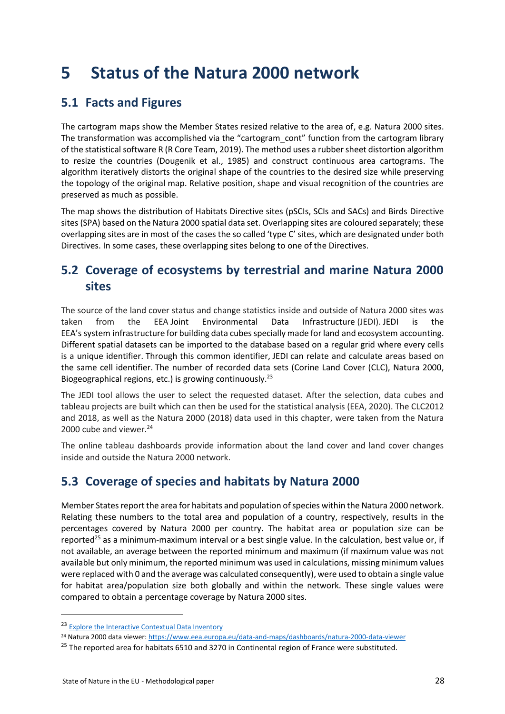# <span id="page-27-0"></span>**5 Status of the Natura 2000 network**

## <span id="page-27-1"></span>**5.1 Facts and Figures**

The cartogram maps show the Member States resized relative to the area of, e.g. Natura 2000 sites. The transformation was accomplished via the "cartogram\_cont" function from the cartogram library of the statistical software R (R Core Team, 2019). The method uses a rubber sheet distortion algorithm to resize the countries (Dougenik et al., 1985) and construct continuous area cartograms. The algorithm iteratively distorts the original shape of the countries to the desired size while preserving the topology of the original map. Relative position, shape and visual recognition of the countries are preserved as much as possible.

The map shows the distribution of Habitats Directive sites (pSCIs, SCIs and SACs) and Birds Directive sites (SPA) based on the Natura 2000 spatial data set. Overlapping sites are coloured separately; these overlapping sites are in most of the cases the so called 'type C' sites, which are designated under both Directives. In some cases, these overlapping sites belong to one of the Directives.

## <span id="page-27-2"></span>**5.2 Coverage of ecosystems by terrestrial and marine Natura 2000 sites**

The source of the land cover status and change statistics inside and outside of Natura 2000 sites was taken from the EEA Joint Environmental Data Infrastructure (JEDI). JEDI is the EEA's system infrastructure for building data cubes specially made for land and ecosystem accounting. Different spatial datasets can be imported to the database based on a regular grid where every cells is a unique identifier. Through this common identifier, JEDI can relate and calculate areas based on the same cell identifier. The number of recorded data sets (Corine Land Cover (CLC), Natura 2000, Biogeographical regions, etc.) is growing continuously.<sup>23</sup>

The JEDI tool allows the user to select the requested dataset. After the selection, data cubes and tableau projects are built which can then be used for the statistical analysis (EEA, 2020). The CLC2012 and 2018, as well as the Natura 2000 (2018) data used in this chapter, were taken from the Natura 2000 cube and viewer.<sup>24</sup>

The online tableau dashboards provide information about the land cover and land cover changes inside and outside the Natura 2000 network.

## <span id="page-27-3"></span>**5.3 Coverage of species and habitats by Natura 2000**

Member States report the area for habitats and population of species within the Natura 2000 network. Relating these numbers to the total area and population of a country, respectively, results in the percentages covered by Natura 2000 per country. The habitat area or population size can be reported<sup>25</sup> as a minimum-maximum interval or a best single value. In the calculation, best value or, if not available, an average between the reported minimum and maximum (if maximum value was not available but only minimum, the reported minimum was used in calculations, missing minimum values were replaced with 0 and the average was calculated consequently), were used to obtain a single value for habitat area/population size both globally and within the network. These single values were compared to obtain a percentage coverage by Natura 2000 sites.

 $\overline{a}$ 

<sup>23</sup> [Explore the Interactive Contextual Data Inventory](https://tableau.discomap.eea.europa.eu/t/Landonline/views/CDIInventoryJuly2019-IDP-LandSystem/ContextualDataInventory?:showAppBanner=false&:display_count=n&:showVizHome=n&:origin=viz_share_link&:isGuestRedirectFromVizportal=y&:embed=y)

<sup>24</sup> Natura 2000 data viewer[: https://www.eea.europa.eu/data-and-maps/dashboards/natura-2000-data-viewer](https://www.eea.europa.eu/data-and-maps/dashboards/natura-2000-data-viewer)

<sup>&</sup>lt;sup>25</sup> The reported area for habitats 6510 and 3270 in Continental region of France were substituted.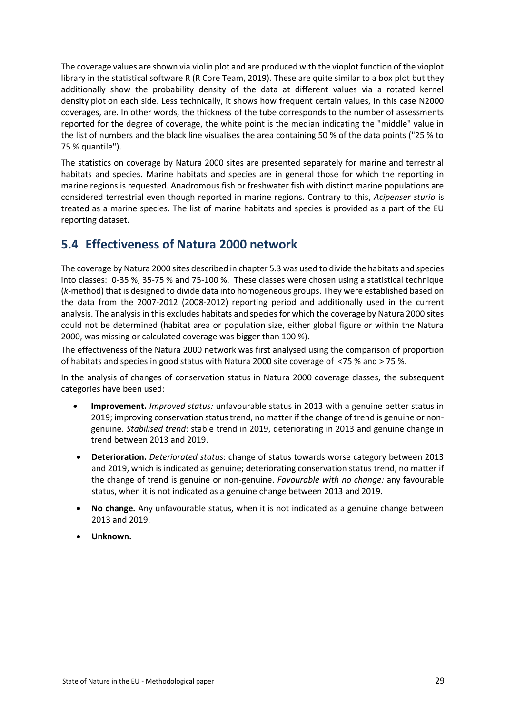The coverage values are shown via violin plot and are produced with the vioplot function of the vioplot library in the statistical software R (R Core Team, 2019). These are quite similar to a box plot but they additionally show the probability density of the data at different values via a rotated kernel density plot on each side. Less technically, it shows how frequent certain values, in this case N2000 coverages, are. In other words, the thickness of the tube corresponds to the number of assessments reported for the degree of coverage, the white point is the median indicating the "middle" value in the list of numbers and the black line visualises the area containing 50 % of the data points ("25 % to 75 % quantile").

The statistics on coverage by Natura 2000 sites are presented separately for marine and terrestrial habitats and species. Marine habitats and species are in general those for which the reporting in marine regions is requested. Anadromous fish or freshwater fish with distinct marine populations are considered terrestrial even though reported in marine regions. Contrary to this, *Acipenser sturio* is treated as a marine species. The list of marine habitats and species is provided as a part of the EU reporting dataset.

## <span id="page-28-0"></span>**5.4 Effectiveness of Natura 2000 network**

The coverage by Natura 2000 sites described in chapter 5.3 was used to divide the habitats and species into classes: 0-35 %, 35-75 % and 75-100 %. These classes were chosen using a statistical technique (*k*-method) that is designed to divide data into homogeneous groups. They were established based on the data from the 2007-2012 (2008-2012) reporting period and additionally used in the current analysis. The analysis in this excludes habitats and species for which the coverage by Natura 2000 sites could not be determined (habitat area or population size, either global figure or within the Natura 2000, was missing or calculated coverage was bigger than 100 %).

The effectiveness of the Natura 2000 network was first analysed using the comparison of proportion of habitats and species in good status with Natura 2000 site coverage of <75 % and > 75 %.

In the analysis of changes of conservation status in Natura 2000 coverage classes, the subsequent categories have been used:

- **Improvement.** *Improved status:* unfavourable status in 2013 with a genuine better status in 2019; improving conservation status trend, no matter if the change of trend is genuine or nongenuine. *Stabilised trend*: stable trend in 2019, deteriorating in 2013 and genuine change in trend between 2013 and 2019.
- **Deterioration.** *Deteriorated status*: change of status towards worse category between 2013 and 2019, which is indicated as genuine; deteriorating conservation status trend, no matter if the change of trend is genuine or non-genuine. *Favourable with no change:* any favourable status, when it is not indicated as a genuine change between 2013 and 2019.
- **No change.** Any unfavourable status, when it is not indicated as a genuine change between 2013 and 2019.
- **Unknown.**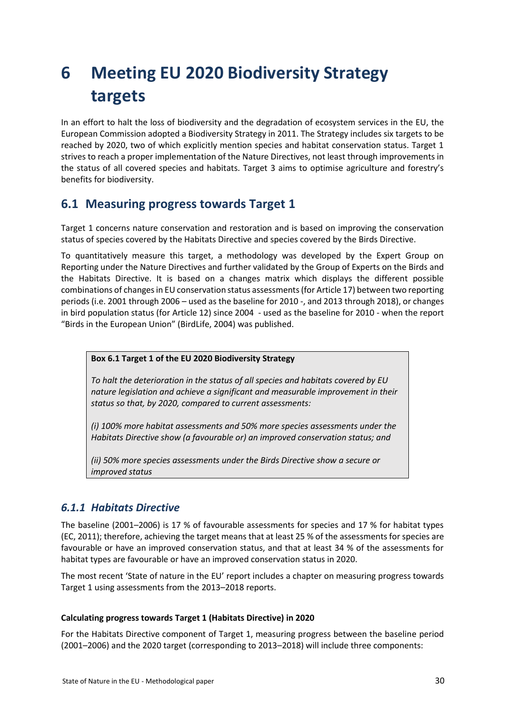# <span id="page-29-0"></span>**6 Meeting EU 2020 Biodiversity Strategy targets**

In an effort to halt the loss of biodiversity and the degradation of ecosystem services in the EU, the European Commission adopted a Biodiversity Strategy in 2011. The Strategy includes six targets to be reached by 2020, two of which explicitly mention species and habitat conservation status. Target 1 strives to reach a proper implementation of the Nature Directives, not least through improvements in the status of all covered species and habitats. Target 3 aims to optimise agriculture and forestry's benefits for biodiversity.

## <span id="page-29-1"></span>**6.1 Measuring progress towards Target 1**

Target 1 concerns nature conservation and restoration and is based on improving the conservation status of species covered by the Habitats Directive and species covered by the Birds Directive.

To quantitatively measure this target, a methodology was developed by the Expert Group on Reporting under the Nature Directives and further validated by the Group of Experts on the Birds and the Habitats Directive. It is based on a changes matrix which displays the different possible combinations of changes in EU conservation status assessments (for Article 17) between two reporting periods (i.e. 2001 through 2006 – used as the baseline for 2010 -, and 2013 through 2018), or changes in bird population status (for Article 12) since 2004 - used as the baseline for 2010 - when the report "Birds in the European Union" (BirdLife, 2004) was published.

**Box 6.1 Target 1 of the EU 2020 Biodiversity Strategy**

*To halt the deterioration in the status of all species and habitats covered by EU nature legislation and achieve a significant and measurable improvement in their status so that, by 2020, compared to current assessments:* 

*(i) 100% more habitat assessments and 50% more species assessments under the Habitats Directive show (a favourable or) an improved conservation status; and* 

*(ii) 50% more species assessments under the Birds Directive show a secure or improved status*

## <span id="page-29-2"></span>*6.1.1 Habitats Directive*

The baseline (2001–2006) is 17 % of favourable assessments for species and 17 % for habitat types (EC, 2011); therefore, achieving the target means that at least 25 % of the assessments for species are favourable or have an improved conservation status, and that at least 34 % of the assessments for habitat types are favourable or have an improved conservation status in 2020.

The most recent 'State of nature in the EU' report includes a chapter on measuring progress towards Target 1 using assessments from the 2013–2018 reports.

#### **Calculating progress towards Target 1 (Habitats Directive) in 2020**

For the Habitats Directive component of Target 1, measuring progress between the baseline period (2001–2006) and the 2020 target (corresponding to 2013–2018) will include three components: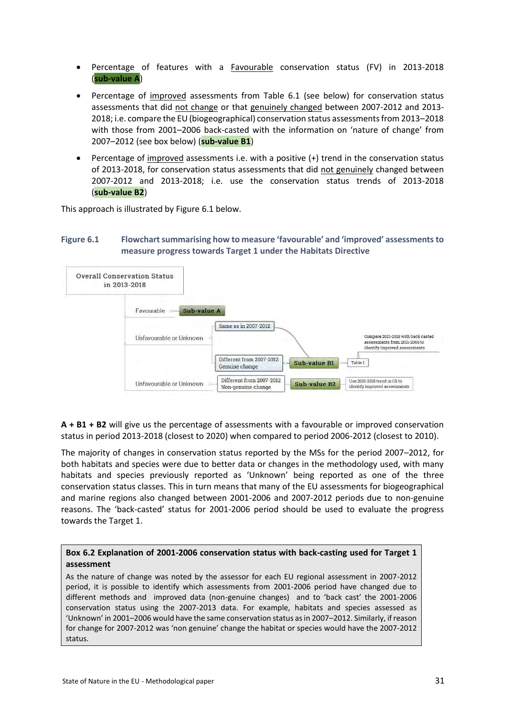- Percentage of features with a Favourable conservation status (FV) in 2013-2018 (**sub-value A**)
- Percentage of improved assessments from Table 6.1 (see below) for conservation status assessments that did not change or that genuinely changed between 2007-2012 and 2013- 2018; i.e. compare the EU (biogeographical) conservation status assessments from 2013–2018 with those from 2001–2006 back-casted with the information on 'nature of change' from 2007–2012 (see box below) (**sub-value B1**)
- Percentage of improved assessments i.e. with a positive (+) trend in the conservation status of 2013-2018, for conservation status assessments that did not genuinely changed between 2007-2012 and 2013-2018; i.e. use the conservation status trends of 2013-2018 (**sub-value B2**)

This approach is illustrated by Figure 6.1 below.

#### **Figure 6.1 Flowchart summarising how to measure 'favourable' and 'improved' assessments to measure progress towards Target 1 under the Habitats Directive**



**A + B1 + B2** will give us the percentage of assessments with a favourable or improved conservation status in period 2013-2018 (closest to 2020) when compared to period 2006-2012 (closest to 2010).

The majority of changes in conservation status reported by the MSs for the period 2007–2012, for both habitats and species were due to better data or changes in the methodology used, with many habitats and species previously reported as 'Unknown' being reported as one of the three conservation status classes. This in turn means that many of the EU assessments for biogeographical and marine regions also changed between 2001-2006 and 2007-2012 periods due to non-genuine reasons. The 'back-casted' status for 2001-2006 period should be used to evaluate the progress towards the Target 1.

#### **Box 6.2 Explanation of 2001-2006 conservation status with back-casting used for Target 1 assessment**

As the nature of change was noted by the assessor for each EU regional assessment in 2007-2012 period, it is possible to identify which assessments from 2001-2006 period have changed due to different methods and improved data (non-genuine changes) and to 'back cast' the 2001-2006 conservation status using the 2007-2013 data. For example, habitats and species assessed as 'Unknown' in 2001–2006 would have the same conservation status as in 2007–2012. Similarly, if reason for change for 2007-2012 was 'non genuine' change the habitat or species would have the 2007-2012 status.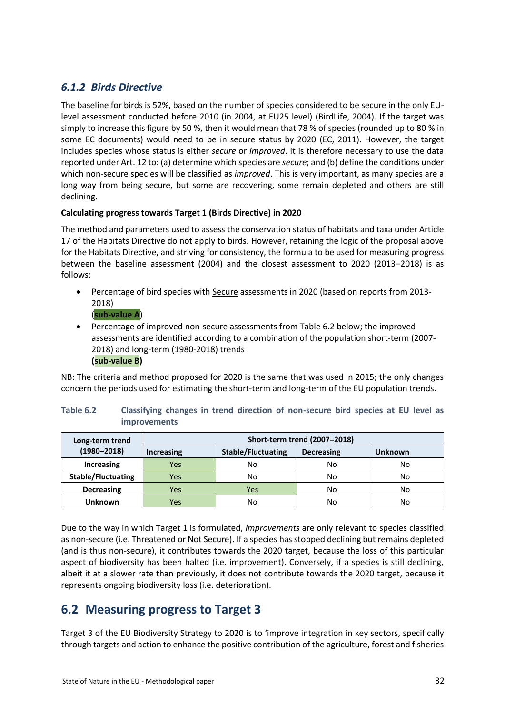## <span id="page-31-0"></span>*6.1.2 Birds Directive*

The baseline for birds is 52%, based on the number of species considered to be secure in the only EUlevel assessment conducted before 2010 (in 2004, at EU25 level) (BirdLife, 2004). If the target was simply to increase this figure by 50 %, then it would mean that 78 % of species (rounded up to 80 % in some EC documents) would need to be in secure status by 2020 (EC, 2011). However, the target includes species whose status is either *secure* or *improved*. It is therefore necessary to use the data reported under Art. 12 to: (a) determine which species are *secure*; and (b) define the conditions under which non-secure species will be classified as *improved*. This is very important, as many species are a long way from being secure, but some are recovering, some remain depleted and others are still declining.

#### **Calculating progress towards Target 1 (Birds Directive) in 2020**

The method and parameters used to assess the conservation status of habitats and taxa under Article 17 of the Habitats Directive do not apply to birds. However, retaining the logic of the proposal above for the Habitats Directive, and striving for consistency, the formula to be used for measuring progress between the baseline assessment (2004) and the closest assessment to 2020 (2013–2018) is as follows:

- Percentage of bird species with Secure assessments in 2020 (based on reports from 2013- 2018)
	- (**sub-value A**)
- Percentage of improved non-secure assessments from Table 6.2 below; the improved assessments are identified according to a combination of the population short-term (2007- 2018) and long-term (1980-2018) trends **(sub-value B)**

NB: The criteria and method proposed for 2020 is the same that was used in 2015; the only changes concern the periods used for estimating the short-term and long-term of the EU population trends.

| Long-term trend           | Short-term trend (2007-2018) |                           |                   |                |  |  |  |  |
|---------------------------|------------------------------|---------------------------|-------------------|----------------|--|--|--|--|
| $(1980 - 2018)$           | <b>Increasing</b>            | <b>Stable/Fluctuating</b> | <b>Decreasing</b> | <b>Unknown</b> |  |  |  |  |
| <b>Increasing</b>         | Yes                          | No                        | No                | No             |  |  |  |  |
| <b>Stable/Fluctuating</b> | Yes                          | No                        | No                | No             |  |  |  |  |
| <b>Decreasing</b>         | Yes                          | Yes                       | No                | No             |  |  |  |  |
| <b>Unknown</b>            | Yes                          | No                        | No                | No             |  |  |  |  |

#### **Table 6.2 Classifying changes in trend direction of non-secure bird species at EU level as improvements**

Due to the way in which Target 1 is formulated, *improvements* are only relevant to species classified as non-secure (i.e. Threatened or Not Secure). If a species has stopped declining but remains depleted (and is thus non-secure), it contributes towards the 2020 target, because the loss of this particular aspect of biodiversity has been halted (i.e. improvement). Conversely, if a species is still declining, albeit it at a slower rate than previously, it does not contribute towards the 2020 target, because it represents ongoing biodiversity loss (i.e. deterioration).

## <span id="page-31-1"></span>**6.2 Measuring progress to Target 3**

Target 3 of the EU Biodiversity Strategy to 2020 is to 'improve integration in key sectors, specifically through targets and action to enhance the positive contribution of the agriculture, forest and fisheries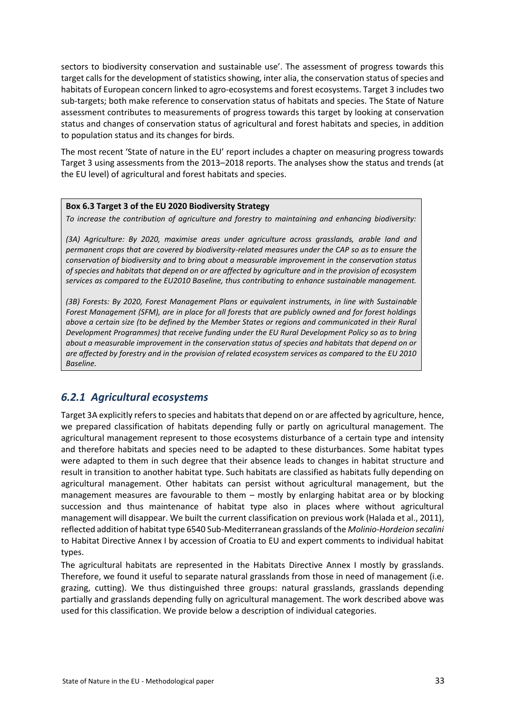sectors to biodiversity conservation and sustainable use'. The assessment of progress towards this target calls for the development of statistics showing, inter alia, the conservation status of species and habitats of European concern linked to agro-ecosystems and forest ecosystems. Target 3 includes two sub-targets; both make reference to conservation status of habitats and species. The State of Nature assessment contributes to measurements of progress towards this target by looking at conservation status and changes of conservation status of agricultural and forest habitats and species, in addition to population status and its changes for birds.

The most recent 'State of nature in the EU' report includes a chapter on measuring progress towards Target 3 using assessments from the 2013–2018 reports. The analyses show the status and trends (at the EU level) of agricultural and forest habitats and species.

#### **Box 6.3 Target 3 of the EU 2020 Biodiversity Strategy**

*To increase the contribution of agriculture and forestry to maintaining and enhancing biodiversity:* 

*(3A) Agriculture: By 2020, maximise areas under agriculture across grasslands, arable land and permanent crops that are covered by biodiversity-related measures under the CAP so as to ensure the conservation of biodiversity and to bring about a measurable improvement in the conservation status of species and habitats that depend on or are affected by agriculture and in the provision of ecosystem services as compared to the EU2010 Baseline, thus contributing to enhance sustainable management.*

*(3B) Forests: By 2020, Forest Management Plans or equivalent instruments, in line with Sustainable Forest Management (SFM), are in place for all forests that are publicly owned and for forest holdings above a certain size (to be defined by the Member States or regions and communicated in their Rural Development Programmes) that receive funding under the EU Rural Development Policy so as to bring about a measurable improvement in the conservation status of species and habitats that depend on or are affected by forestry and in the provision of related ecosystem services as compared to the EU 2010 Baseline.*

### <span id="page-32-0"></span>*6.2.1 Agricultural ecosystems*

Target 3A explicitly refers to species and habitats that depend on or are affected by agriculture, hence, we prepared classification of habitats depending fully or partly on agricultural management. The agricultural management represent to those ecosystems disturbance of a certain type and intensity and therefore habitats and species need to be adapted to these disturbances. Some habitat types were adapted to them in such degree that their absence leads to changes in habitat structure and result in transition to another habitat type. Such habitats are classified as habitats fully depending on agricultural management. Other habitats can persist without agricultural management, but the management measures are favourable to them – mostly by enlarging habitat area or by blocking succession and thus maintenance of habitat type also in places where without agricultural management will disappear. We built the current classification on previous work (Halada et al., 2011), reflected addition of habitat type 6540 Sub-Mediterranean grasslands of the *Molinio-Hordeion secalini* to Habitat Directive Annex I by accession of Croatia to EU and expert comments to individual habitat types.

The agricultural habitats are represented in the Habitats Directive Annex I mostly by grasslands. Therefore, we found it useful to separate natural grasslands from those in need of management (i.e. grazing, cutting). We thus distinguished three groups: natural grasslands, grasslands depending partially and grasslands depending fully on agricultural management. The work described above was used for this classification. We provide below a description of individual categories.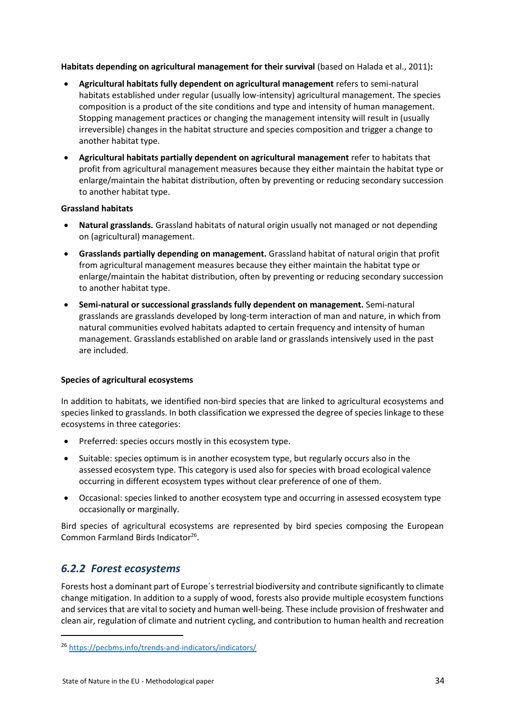**Habitats depending on agricultural management for their survival** (based on Halada et al., 2011)**:**

- **Agricultural habitats fully dependent on agricultural management** refers to semi-natural habitats established under regular (usually low-intensity) agricultural management. The species composition is a product of the site conditions and type and intensity of human management. Stopping management practices or changing the management intensity will result in (usually irreversible) changes in the habitat structure and species composition and trigger a change to another habitat type.
- **Agricultural habitats partially dependent on agricultural management** refer to habitats that profit from agricultural management measures because they either maintain the habitat type or enlarge/maintain the habitat distribution, often by preventing or reducing secondary succession to another habitat type.

#### **Grassland habitats**

- **Natural grasslands.** Grassland habitats of natural origin usually not managed or not depending on (agricultural) management.
- **Grasslands partially depending on management.** Grassland habitat of natural origin that profit from agricultural management measures because they either maintain the habitat type or enlarge/maintain the habitat distribution, often by preventing or reducing secondary succession to another habitat type.
- **Semi-natural or successional grasslands fully dependent on management.** Semi-natural grasslands are grasslands developed by long-term interaction of man and nature, in which from natural communities evolved habitats adapted to certain frequency and intensity of human management. Grasslands established on arable land or grasslands intensively used in the past are included.

#### **Species of agricultural ecosystems**

In addition to habitats, we identified non-bird species that are linked to agricultural ecosystems and species linked to grasslands. In both classification we expressed the degree of species linkage to these ecosystems in three categories:

- Preferred: species occurs mostly in this ecosystem type.
- Suitable: species optimum is in another ecosystem type, but regularly occurs also in the assessed ecosystem type. This category is used also for species with broad ecological valence occurring in different ecosystem types without clear preference of one of them.
- Occasional: species linked to another ecosystem type and occurring in assessed ecosystem type occasionally or marginally.

Bird species of agricultural ecosystems are represented by bird species composing the European Common Farmland Birds Indicator<sup>26</sup>.

## <span id="page-33-0"></span>*6.2.2 Forest ecosystems*

**.** 

Forests host a dominant part of Europe´s terrestrial biodiversity and contribute significantly to climate change mitigation. In addition to a supply of wood, forests also provide multiple ecosystem functions and services that are vital to society and human well-being. These include provision of freshwater and clean air, regulation of climate and nutrient cycling, and contribution to human health and recreation

<sup>26</sup> <https://pecbms.info/trends-and-indicators/indicators/>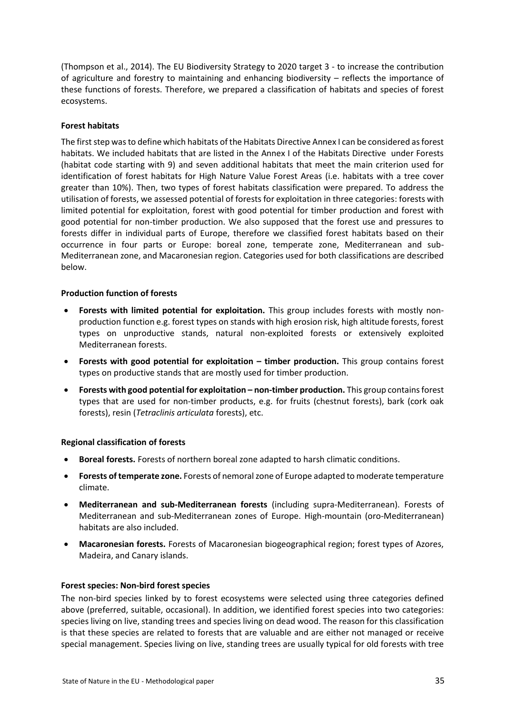(Thompson et al., 2014). The EU Biodiversity Strategy to 2020 target 3 - to increase the contribution of agriculture and forestry to maintaining and enhancing biodiversity – reflects the importance of these functions of forests. Therefore, we prepared a classification of habitats and species of forest ecosystems.

#### **Forest habitats**

The first step was to define which habitats of the Habitats Directive Annex I can be considered as forest habitats. We included habitats that are listed in the Annex I of the Habitats Directive under Forests (habitat code starting with 9) and seven additional habitats that meet the main criterion used for identification of forest habitats for High Nature Value Forest Areas (i.e. habitats with a tree cover greater than 10%). Then, two types of forest habitats classification were prepared. To address the utilisation of forests, we assessed potential of forests for exploitation in three categories: forests with limited potential for exploitation, forest with good potential for timber production and forest with good potential for non-timber production. We also supposed that the forest use and pressures to forests differ in individual parts of Europe, therefore we classified forest habitats based on their occurrence in four parts or Europe: boreal zone, temperate zone, Mediterranean and sub-Mediterranean zone, and Macaronesian region. Categories used for both classifications are described below.

#### **Production function of forests**

- **Forests with limited potential for exploitation.** This group includes forests with mostly nonproduction function e.g. forest types on stands with high erosion risk, high altitude forests, forest types on unproductive stands, natural non-exploited forests or extensively exploited Mediterranean forests.
- **Forests with good potential for exploitation – timber production.** This group contains forest types on productive stands that are mostly used for timber production.
- **Forests with good potential for exploitation – non-timber production.** This group contains forest types that are used for non-timber products, e.g. for fruits (chestnut forests), bark (cork oak forests), resin (*Tetraclinis articulata* forests), etc.

#### **Regional classification of forests**

- **Boreal forests.** Forests of northern boreal zone adapted to harsh climatic conditions.
- **Forests of temperate zone.** Forests of nemoral zone of Europe adapted to moderate temperature climate.
- **Mediterranean and sub-Mediterranean forests** (including supra-Mediterranean). Forests of Mediterranean and sub-Mediterranean zones of Europe. High-mountain (oro-Mediterranean) habitats are also included.
- **Macaronesian forests.** Forests of Macaronesian biogeographical region; forest types of Azores, Madeira, and Canary islands.

#### **Forest species: Non-bird forest species**

The non-bird species linked by to forest ecosystems were selected using three categories defined above (preferred, suitable, occasional). In addition, we identified forest species into two categories: species living on live, standing trees and species living on dead wood. The reason for this classification is that these species are related to forests that are valuable and are either not managed or receive special management. Species living on live, standing trees are usually typical for old forests with tree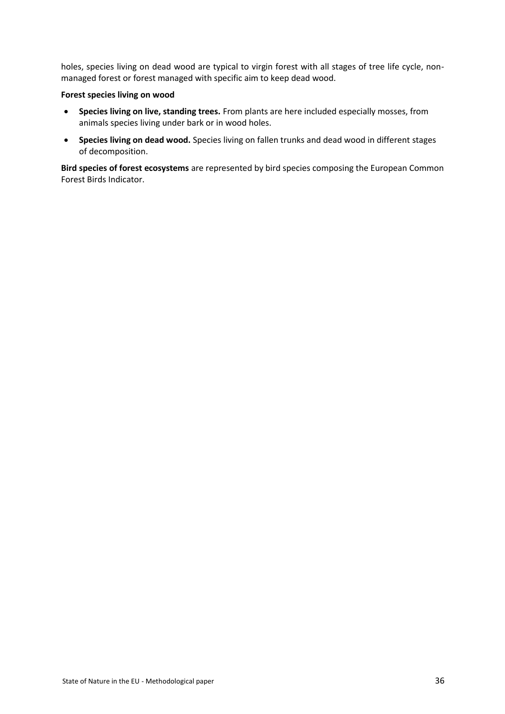holes, species living on dead wood are typical to virgin forest with all stages of tree life cycle, nonmanaged forest or forest managed with specific aim to keep dead wood.

#### **Forest species living on wood**

- **Species living on live, standing trees.** From plants are here included especially mosses, from animals species living under bark or in wood holes.
- **Species living on dead wood.** Species living on fallen trunks and dead wood in different stages of decomposition.

**Bird species of forest ecosystems** are represented by bird species composing the European Common Forest Birds Indicator.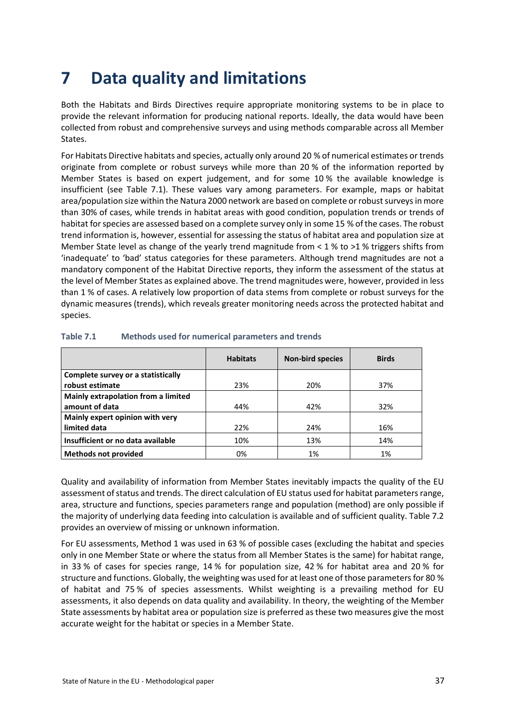# <span id="page-36-0"></span>**7 Data quality and limitations**

Both the Habitats and Birds Directives require appropriate monitoring systems to be in place to provide the relevant information for producing national reports. Ideally, the data would have been collected from robust and comprehensive surveys and using methods comparable across all Member States.

For Habitats Directive habitats and species, actually only around 20 % of numerical estimates or trends originate from complete or robust surveys while more than 20 % of the information reported by Member States is based on expert judgement, and for some 10 % the available knowledge is insufficient (see Table 7.1). These values vary among parameters. For example, maps or habitat area/population size within the Natura 2000 network are based on complete or robust surveys in more than 30% of cases, while trends in habitat areas with good condition, population trends or trends of habitat for species are assessed based on a complete survey only in some 15 % of the cases. The robust trend information is, however, essential for assessing the status of habitat area and population size at Member State level as change of the yearly trend magnitude from  $<$  1 % to >1 % triggers shifts from 'inadequate' to 'bad' status categories for these parameters. Although trend magnitudes are not a mandatory component of the Habitat Directive reports, they inform the assessment of the status at the level of Member States as explained above. The trend magnitudes were, however, provided in less than 1 % of cases. A relatively low proportion of data stems from complete or robust surveys for the dynamic measures (trends), which reveals greater monitoring needs across the protected habitat and species.

|                                     | <b>Habitats</b> | <b>Non-bird species</b> | <b>Birds</b> |
|-------------------------------------|-----------------|-------------------------|--------------|
| Complete survey or a statistically  |                 |                         |              |
| robust estimate                     | 23%             | 20%                     | 37%          |
| Mainly extrapolation from a limited |                 |                         |              |
| amount of data                      | 44%             | 42%                     | 32%          |
| Mainly expert opinion with very     |                 |                         |              |
| limited data                        | 22%             | 24%                     | 16%          |
| Insufficient or no data available   | 10%             | 13%                     | 14%          |
| <b>Methods not provided</b>         | 0%              | 1%                      | 1%           |

#### **Table 7.1 Methods used for numerical parameters and trends**

Quality and availability of information from Member States inevitably impacts the quality of the EU assessment of status and trends. The direct calculation of EU status used for habitat parameters range, area, structure and functions, species parameters range and population (method) are only possible if the majority of underlying data feeding into calculation is available and of sufficient quality. Table 7.2 provides an overview of missing or unknown information.

For EU assessments, Method 1 was used in 63 % of possible cases (excluding the habitat and species only in one Member State or where the status from all Member States is the same) for habitat range, in 33 % of cases for species range, 14 % for population size, 42 % for habitat area and 20 % for structure and functions. Globally, the weighting was used for at least one of those parameters for 80 % of habitat and 75 % of species assessments. Whilst weighting is a prevailing method for EU assessments, it also depends on data quality and availability. In theory, the weighting of the Member State assessments by habitat area or population size is preferred as these two measures give the most accurate weight for the habitat or species in a Member State.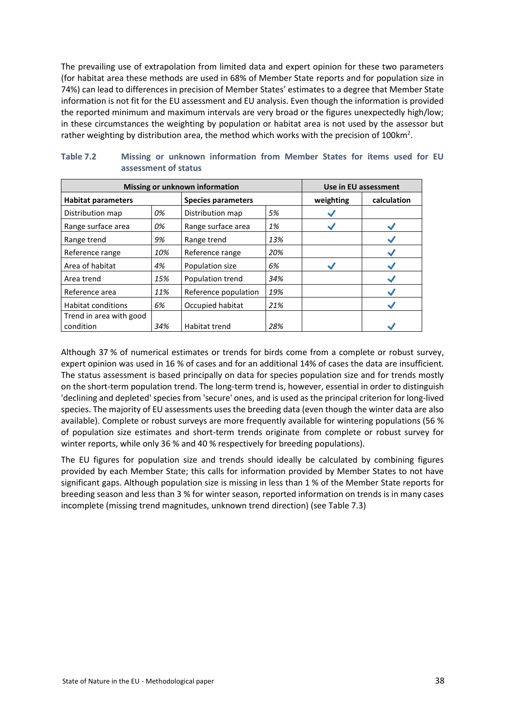The prevailing use of extrapolation from limited data and expert opinion for these two parameters (for habitat area these methods are used in 68% of Member State reports and for population size in 74%) can lead to differences in precision of Member States' estimates to a degree that Member State information is not fit for the EU assessment and EU analysis. Even though the information is provided the reported minimum and maximum intervals are very broad or the figures unexpectedly high/low; in these circumstances the weighting by population or habitat area is not used by the assessor but rather weighting by distribution area, the method which works with the precision of 100 km<sup>2</sup>.

| Missing or unknown information | Use in EU assessment |                           |     |           |             |
|--------------------------------|----------------------|---------------------------|-----|-----------|-------------|
| <b>Habitat parameters</b>      |                      | <b>Species parameters</b> |     | weighting | calculation |
| Distribution map               | 0%                   | Distribution map          | 5%  |           |             |
| Range surface area             | 0%                   | Range surface area        | 1%  |           |             |
| Range trend                    | 9%                   | Range trend               | 13% |           |             |
| Reference range                | 10%                  | Reference range           | 20% |           |             |
| Area of habitat                | 4%                   | Population size           | 6%  |           |             |
| Area trend                     | 15%                  | Population trend          | 34% |           |             |
| Reference area                 | 11%                  | Reference population      | 19% |           |             |
| <b>Habitat conditions</b>      | 6%                   | Occupied habitat          | 21% |           |             |
| Trend in area with good        |                      |                           |     |           |             |
| condition                      | 34%                  | Habitat trend             | 28% |           |             |

| Table 7.2 |  |                      | Missing or unknown information from Member States for items used for EU |  |  |  |  |
|-----------|--|----------------------|-------------------------------------------------------------------------|--|--|--|--|
|           |  | assessment of status |                                                                         |  |  |  |  |

Although 37 % of numerical estimates or trends for birds come from a complete or robust survey, expert opinion was used in 16 % of cases and for an additional 14% of cases the data are insufficient. The status assessment is based principally on data for species population size and for trends mostly on the short-term population trend. The long-term trend is, however, essential in order to distinguish 'declining and depleted' species from 'secure' ones, and is used as the principal criterion for long-lived species. The majority of EU assessments uses the breeding data (even though the winter data are also available). Complete or robust surveys are more frequently available for wintering populations (56 % of population size estimates and short-term trends originate from complete or robust survey for winter reports, while only 36 % and 40 % respectively for breeding populations).

The EU figures for population size and trends should ideally be calculated by combining figures provided by each Member State; this calls for information provided by Member States to not have significant gaps. Although population size is missing in less than 1 % of the Member State reports for breeding season and less than 3 % for winter season, reported information on trends is in many cases incomplete (missing trend magnitudes, unknown trend direction) (see Table 7.3)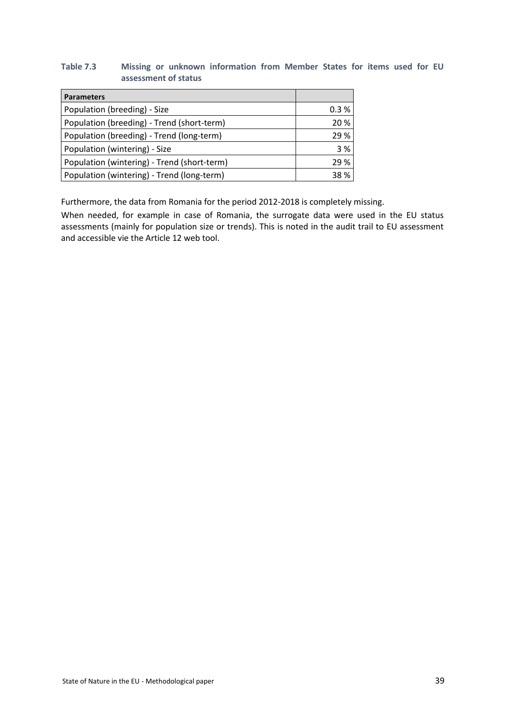#### **Table 7.3 Missing or unknown information from Member States for items used for EU assessment of status**

| <b>Parameters</b>                           |      |
|---------------------------------------------|------|
| Population (breeding) - Size                | 0.3% |
| Population (breeding) - Trend (short-term)  | 20 % |
| Population (breeding) - Trend (long-term)   | 29 % |
| Population (wintering) - Size               | 3 %  |
| Population (wintering) - Trend (short-term) | 29 % |
| Population (wintering) - Trend (long-term)  | 38%  |

Furthermore, the data from Romania for the period 2012-2018 is completely missing.

When needed, for example in case of Romania, the surrogate data were used in the EU status assessments (mainly for population size or trends). This is noted in the audit trail to EU assessment and accessible vie the Article 12 web tool.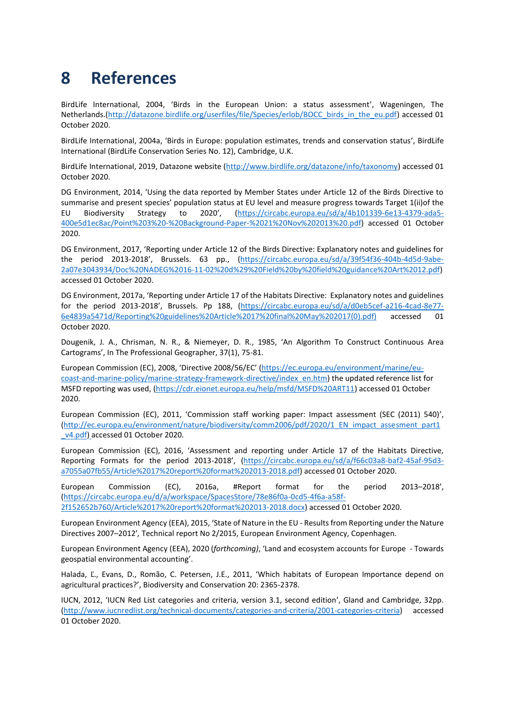# <span id="page-39-0"></span>**8 References**

BirdLife International, 2004, 'Birds in the European Union: a status assessment', Wageningen, The Netherlands.[\(http://datazone.birdlife.org/userfiles/file/Species/erlob/BOCC\\_birds\\_in\\_the\\_eu.pdf\)](http://datazone.birdlife.org/userfiles/file/Species/erlob/BOCC_birds_in_the_eu.pdf) accessed 01 October 2020.

BirdLife International, 2004a, 'Birds in Europe: population estimates, trends and conservation status', BirdLife International (BirdLife Conservation Series No. 12), Cambridge, U.K.

BirdLife International, 2019, Datazone website [\(http://www.birdlife.org/datazone/info/taxonomy\)](http://www.birdlife.org/datazone/info/taxonomy) accessed 01 October 2020.

DG Environment, 2014, 'Using the data reported by Member States under Article 12 of the Birds Directive to summarise and present species' population status at EU level and measure progress towards Target 1(ii)of the EU Biodiversity Strategy to 2020', [\(https://circabc.europa.eu/sd/a/4b101339-6e13-4379-ada5-](https://circabc.europa.eu/sd/a/4b101339-6e13-4379-ada5-400e5d1ec8ac/Point%203%20-%20Background-Paper-%2021%20Nov%202013%20.pdf) [400e5d1ec8ac/Point%203%20-%20Background-Paper-%2021%20Nov%202013%20.pdf\)](https://circabc.europa.eu/sd/a/4b101339-6e13-4379-ada5-400e5d1ec8ac/Point%203%20-%20Background-Paper-%2021%20Nov%202013%20.pdf) accessed 01 October 2020.

DG Environment, 2017, 'Reporting under Article 12 of the Birds Directive: Explanatory notes and guidelines for the period 2013-2018', Brussels. 63 pp., [\(https://circabc.europa.eu/sd/a/39f54f36-404b-4d5d-9abe-](https://circabc.europa.eu/sd/a/39f54f36-404b-4d5d-9abe-2a07e3043934/Doc%20NADEG%2016-11-02%20d%29%20Field%20by%20field%20guidance%20Art%2012.pdf)[2a07e3043934/Doc%20NADEG%2016-11-02%20d%29%20Field%20by%20field%20guidance%20Art%2012.pdf\)](https://circabc.europa.eu/sd/a/39f54f36-404b-4d5d-9abe-2a07e3043934/Doc%20NADEG%2016-11-02%20d%29%20Field%20by%20field%20guidance%20Art%2012.pdf) accessed 01 October 2020.

DG Environment, 2017a, 'Reporting under Article 17 of the Habitats Directive: Explanatory notes and guidelines for the period 2013-2018', Brussels. Pp 188, [\(https://circabc.europa.eu/sd/a/d0eb5cef-a216-4cad-8e77-](https://circabc.europa.eu/sd/a/d0eb5cef-a216-4cad-8e77-6e4839a5471d/Reporting%20guidelines%20Article%2017%20final%20May%202017(0).pdf)) [6e4839a5471d/Reporting%20guidelines%20Article%2017%20final%20May%202017\(0\).pdf\)](https://circabc.europa.eu/sd/a/d0eb5cef-a216-4cad-8e77-6e4839a5471d/Reporting%20guidelines%20Article%2017%20final%20May%202017(0).pdf)) accessed 01 October 2020.

Dougenik, J. A., Chrisman, N. R., & Niemeyer, D. R., 1985, 'An Algorithm To Construct Continuous Area Cartograms', In The Professional Geographer, 37(1), 75-81.

European Commission (EC), 2008, 'Directive 2008/56/EC' [\(https://ec.europa.eu/environment/marine/eu](https://ec.europa.eu/environment/marine/eu-coast-and-marine-policy/marine-strategy-framework-directive/index_en.htm)[coast-and-marine-policy/marine-strategy-framework-directive/index\\_en.htm\)](https://ec.europa.eu/environment/marine/eu-coast-and-marine-policy/marine-strategy-framework-directive/index_en.htm) the updated reference list for MSFD reporting was used, [\(https://cdr.eionet.europa.eu/help/msfd/MSFD%20ART11\)](https://cdr.eionet.europa.eu/help/msfd/MSFD%20ART11) accessed 01 October 2020.

European Commission (EC), 2011, 'Commission staff working paper: Impact assessment (SEC (2011) 540)', [\(http://ec.europa.eu/environment/nature/biodiversity/comm2006/pdf/2020/1\\_EN\\_impact\\_assesment\\_part1](http://ec.europa.eu/environment/nature/biodiversity/comm2006/pdf/2020/1_EN_impact_assesment_part1_v4.pdf) v4.pdf) accessed 01 October 2020.

European Commission (EC), 2016, 'Assessment and reporting under Article 17 of the Habitats Directive, Reporting Formats for the period 2013-2018', [\(https://circabc.europa.eu/sd/a/f66c03a8-baf2-45af-95d3](https://circabc.europa.eu/sd/a/f66c03a8-baf2-45af-95d3-a7055a07fb55/Article%2017%20report%20format%202013-2018.pdf) [a7055a07fb55/Article%2017%20report%20format%202013-2018.pdf\)](https://circabc.europa.eu/sd/a/f66c03a8-baf2-45af-95d3-a7055a07fb55/Article%2017%20report%20format%202013-2018.pdf) accessed 01 October 2020.

European Commission (EC), 2016a, #Report format for the period 2013–2018', [\(https://circabc.europa.eu/d/a/workspace/SpacesStore/78e86f0a-0cd5-4f6a-a58f-](https://circabc.europa.eu/d/a/workspace/SpacesStore/78e86f0a-0cd5-4f6a-a58f-2f152652b760/Article%2017%20report%20format%202013-2018.docx)[2f152652b760/Article%2017%20report%20format%202013-2018.docx\)](https://circabc.europa.eu/d/a/workspace/SpacesStore/78e86f0a-0cd5-4f6a-a58f-2f152652b760/Article%2017%20report%20format%202013-2018.docx) accessed 01 October 2020.

European Environment Agency (EEA), 2015, 'State of Nature in the EU - Results from Reporting under the Nature Directives 2007–2012'*,* Technical report No 2/2015, European Environment Agency, Copenhagen.

European Environment Agency (EEA), 2020 (*forthcoming)*, 'Land and ecosystem accounts for Europe - Towards geospatial environmental accounting'.

Halada, Ľ., Evans, D., Romão, C. Petersen, J.E., 2011, 'Which habitats of European Importance depend on agricultural practices?', Biodiversity and Conservation 20: 2365-2378.

IUCN, 2012, 'IUCN Red List categories and criteria, version 3.1, second edition', Gland and Cambridge, 32pp. [\(http://www.iucnredlist.org/technical-documents/categories-and-criteria/2001-categories-criteria\)](http://www.iucnredlist.org/technical-documents/categories-and-criteria/2001-categories-criteria) accessed 01 October 2020.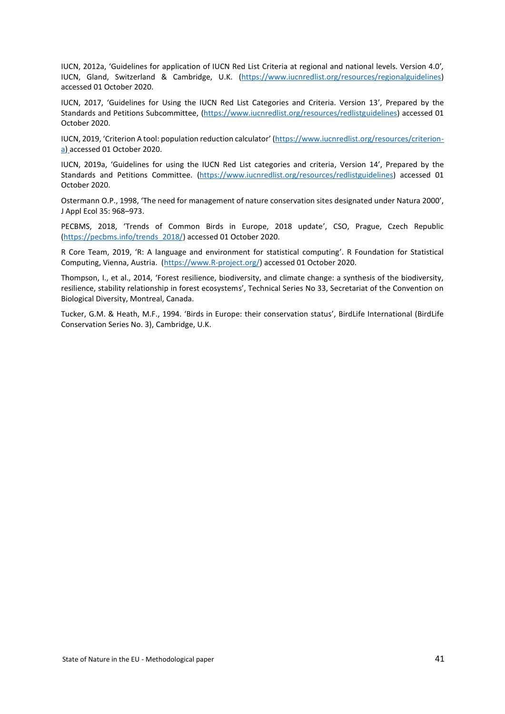IUCN, 2012a, 'Guidelines for application of IUCN Red List Criteria at regional and national levels. Version 4.0'*,* IUCN, Gland, Switzerland & Cambridge, U.K. [\(https://www.iucnredlist.org/resources/regionalguidelines\)](https://www.iucnredlist.org/resources/regionalguidelines) accessed 01 October 2020.

IUCN, 2017, 'Guidelines for Using the IUCN Red List Categories and Criteria. Version 13', Prepared by the Standards and Petitions Subcommittee, [\(https://www.iucnredlist.org/resources/redlistguidelines\)](https://www.iucnredlist.org/resources/redlistguidelines) accessed 01 October 2020.

IUCN, 2019, 'Criterion A tool: population reduction calculator' ([https://www.iucnredlist.org/resources/criterion](https://www.iucnredlist.org/resources/criterion-a)[a\)](https://www.iucnredlist.org/resources/criterion-a) accessed 01 October 2020.

IUCN, 2019a, 'Guidelines for using the IUCN Red List categories and criteria, Version 14', Prepared by the Standards and Petitions Committee. [\(https://www.iucnredlist.org/resources/redlistguidelines\)](https://www.iucnredlist.org/resources/redlistguidelines) accessed 01 October 2020.

Ostermann O.P., 1998, 'The need for management of nature conservation sites designated under Natura 2000', J Appl Ecol 35: 968–973.

PECBMS, 2018, 'Trends of Common Birds in Europe, 2018 update', CSO, Prague, Czech Republic [\(https://pecbms.info/trends\\_2018/\)](https://pecbms.info/trends_2018/) accessed 01 October 2020.

R Core Team, 2019, 'R: A language and environment for statistical computing'. R Foundation for Statistical Computing, Vienna, Austria. [\(https://www.R-project.org/\)](https://www.r-project.org/) accessed 01 October 2020.

Thompson, I., et al., 2014, 'Forest resilience, biodiversity, and climate change: a synthesis of the biodiversity, resilience, stability relationship in forest ecosystems', Technical Series No 33, Secretariat of the Convention on Biological Diversity, Montreal, Canada.

Tucker, G.M. & Heath, M.F., 1994. 'Birds in Europe: their conservation status', BirdLife International (BirdLife Conservation Series No. 3), Cambridge, U.K.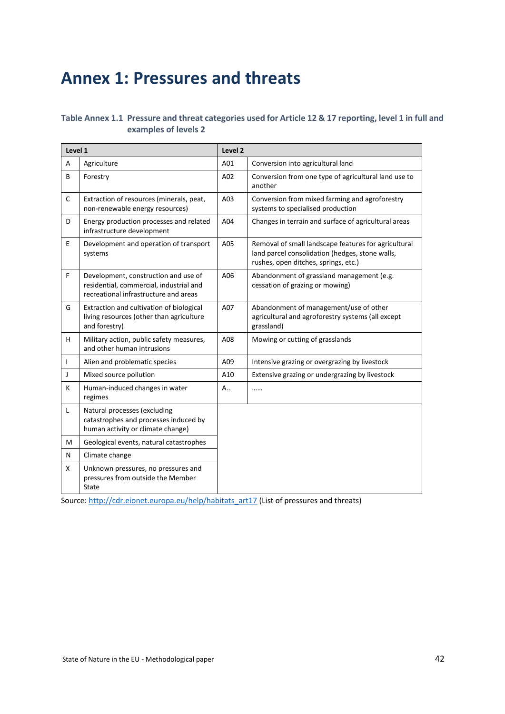# <span id="page-41-0"></span>**Annex 1: Pressures and threats**

#### **Table Annex 1.1 Pressure and threat categories used for Article 12 & 17 reporting, level 1 in full and examples of levels 2**

| Level 1      |                                                                                                                          | Level 2 |                                                                                                                                                 |  |
|--------------|--------------------------------------------------------------------------------------------------------------------------|---------|-------------------------------------------------------------------------------------------------------------------------------------------------|--|
| A            | Agriculture                                                                                                              | A01     | Conversion into agricultural land                                                                                                               |  |
| В            | Forestry                                                                                                                 | A02     | Conversion from one type of agricultural land use to<br>another                                                                                 |  |
| С            | Extraction of resources (minerals, peat,<br>non-renewable energy resources)                                              | A03     | Conversion from mixed farming and agroforestry<br>systems to specialised production                                                             |  |
| D            | Energy production processes and related<br>infrastructure development                                                    | A04     | Changes in terrain and surface of agricultural areas                                                                                            |  |
| E            | Development and operation of transport<br>systems                                                                        | A05     | Removal of small landscape features for agricultural<br>land parcel consolidation (hedges, stone walls,<br>rushes, open ditches, springs, etc.) |  |
| F            | Development, construction and use of<br>residential, commercial, industrial and<br>recreational infrastructure and areas | A06     | Abandonment of grassland management (e.g.<br>cessation of grazing or mowing)                                                                    |  |
| G            | Extraction and cultivation of biological<br>living resources (other than agriculture<br>and forestry)                    | A07     | Abandonment of management/use of other<br>agricultural and agroforestry systems (all except<br>grassland)                                       |  |
| H.           | Military action, public safety measures,<br>and other human intrusions                                                   | A08     | Mowing or cutting of grasslands                                                                                                                 |  |
| $\mathbf{I}$ | Alien and problematic species                                                                                            | A09     | Intensive grazing or overgrazing by livestock                                                                                                   |  |
| J            | Mixed source pollution                                                                                                   | A10     | Extensive grazing or undergrazing by livestock                                                                                                  |  |
| K            | Human-induced changes in water<br>regimes                                                                                | А.,     |                                                                                                                                                 |  |
| L            | Natural processes (excluding<br>catastrophes and processes induced by<br>human activity or climate change)               |         |                                                                                                                                                 |  |
| M            | Geological events, natural catastrophes                                                                                  |         |                                                                                                                                                 |  |
| N            | Climate change                                                                                                           |         |                                                                                                                                                 |  |
| X            | Unknown pressures, no pressures and<br>pressures from outside the Member<br>State                                        |         |                                                                                                                                                 |  |

Source[: http://cdr.eionet.europa.eu/help/habitats\\_art17](http://cdr.eionet.europa.eu/help/habitats_art17) [\(List of pressures and threats\)](http://biodiversity.eionet.europa.eu/activities/Reporting/Article_17/Reports_2019/Files_2019/Conservation_measures_Final_20180507.xls)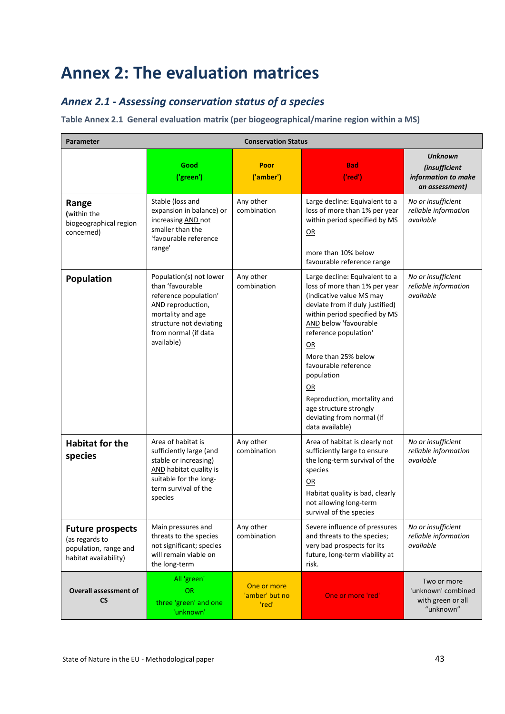# <span id="page-42-0"></span>**Annex 2: The evaluation matrices**

## <span id="page-42-1"></span>*Annex 2.1 - Assessing conservation status of a species*

#### **Table Annex 2.1 General evaluation matrix (per biogeographical/marine region within a MS)**

| <b>Parameter</b><br><b>Conservation Status</b>                                              |                                                                                                                                                                                 |                                        |                                                                                                                                                                                                                                                                                                                                                                                                     |                                                                          |
|---------------------------------------------------------------------------------------------|---------------------------------------------------------------------------------------------------------------------------------------------------------------------------------|----------------------------------------|-----------------------------------------------------------------------------------------------------------------------------------------------------------------------------------------------------------------------------------------------------------------------------------------------------------------------------------------------------------------------------------------------------|--------------------------------------------------------------------------|
|                                                                                             | Good<br>('green')                                                                                                                                                               | Poor<br>('amber')                      | <b>Bad</b><br>('red')                                                                                                                                                                                                                                                                                                                                                                               | <b>Unknown</b><br>(insufficient<br>information to make<br>an assessment) |
| Range<br>(within the<br>biogeographical region<br>concerned)                                | Stable (loss and<br>expansion in balance) or<br>increasing <b>AND</b> not<br>smaller than the<br>'favourable reference<br>range'                                                | Any other<br>combination               | Large decline: Equivalent to a<br>loss of more than 1% per year<br>within period specified by MS<br>QR<br>more than 10% below<br>favourable reference range                                                                                                                                                                                                                                         | No or insufficient<br>reliable information<br>available                  |
| Population                                                                                  | Population(s) not lower<br>than 'favourable<br>reference population'<br>AND reproduction,<br>mortality and age<br>structure not deviating<br>from normal (if data<br>available) | Any other<br>combination               | Large decline: Equivalent to a<br>loss of more than 1% per year<br>(indicative value MS may<br>deviate from if duly justified)<br>within period specified by MS<br>AND below 'favourable<br>reference population'<br>QR<br>More than 25% below<br>favourable reference<br>population<br>OR<br>Reproduction, mortality and<br>age structure strongly<br>deviating from normal (if<br>data available) | No or insufficient<br>reliable information<br>available                  |
| <b>Habitat for the</b><br>species                                                           | Area of habitat is<br>sufficiently large (and<br>stable or increasing)<br>AND habitat quality is<br>suitable for the long-<br>term survival of the<br>species                   | Any other<br>combination               | Area of habitat is clearly not<br>sufficiently large to ensure<br>the long-term survival of the<br>species<br>OR<br>Habitat quality is bad, clearly<br>not allowing long-term<br>survival of the species                                                                                                                                                                                            | No or insufficient<br>reliable information<br>available                  |
| <b>Future prospects</b><br>(as regards to<br>population, range and<br>habitat availability) | Main pressures and<br>threats to the species<br>not significant; species<br>will remain viable on<br>the long-term                                                              | Any other<br>combination               | Severe influence of pressures<br>and threats to the species;<br>very bad prospects for its<br>future, long-term viability at<br>risk.                                                                                                                                                                                                                                                               | No or insufficient<br>reliable information<br>available                  |
| <b>Overall assessment of</b><br><b>CS</b>                                                   | All 'green'<br>OR<br>three 'green' and one<br>'unknown'                                                                                                                         | One or more<br>'amber' but no<br>'red' | One or more 'red'                                                                                                                                                                                                                                                                                                                                                                                   | Two or more<br>'unknown' combined<br>with green or all<br>"unknown"      |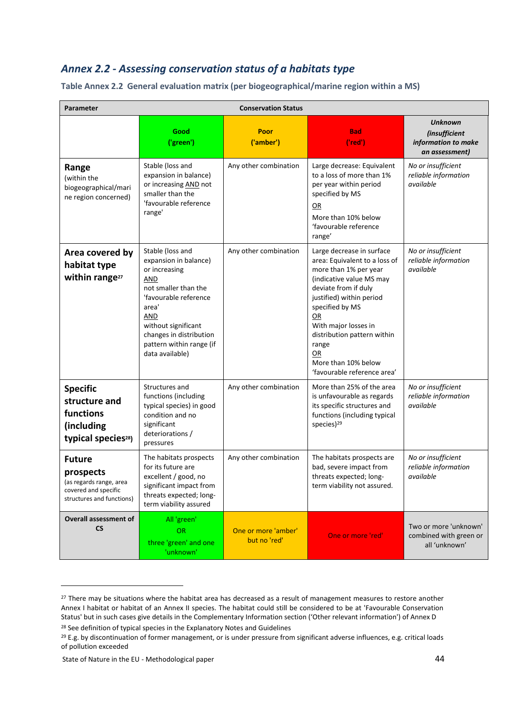## <span id="page-43-0"></span>*Annex 2.2 - Assessing conservation status of a habitats type*

| <b>Conservation Status</b><br>Parameter                                                                    |                                                                                                                                                                                                                                            |                                     |                                                                                                                                                                                                                                                                                                                          |                                                                                 |
|------------------------------------------------------------------------------------------------------------|--------------------------------------------------------------------------------------------------------------------------------------------------------------------------------------------------------------------------------------------|-------------------------------------|--------------------------------------------------------------------------------------------------------------------------------------------------------------------------------------------------------------------------------------------------------------------------------------------------------------------------|---------------------------------------------------------------------------------|
|                                                                                                            | Good<br>('green')                                                                                                                                                                                                                          | Poor<br>('amber')                   | <b>Bad</b><br>('red')                                                                                                                                                                                                                                                                                                    | <b>Unknown</b><br><i>(insufficient</i><br>information to make<br>an assessment) |
| Range<br>(within the<br>biogeographical/mari<br>ne region concerned)                                       | Stable (loss and<br>expansion in balance)<br>or increasing AND not<br>smaller than the<br>'favourable reference<br>range'                                                                                                                  | Any other combination               | Large decrease: Equivalent<br>to a loss of more than 1%<br>per year within period<br>specified by MS<br>QR<br>More than 10% below<br>'favourable reference<br>range'                                                                                                                                                     | No or insufficient<br>reliable information<br>available                         |
| Area covered by<br>habitat type<br>within range <sup>27</sup>                                              | Stable (loss and<br>expansion in balance)<br>or increasing<br>AND<br>not smaller than the<br>'favourable reference<br>area'<br><b>AND</b><br>without significant<br>changes in distribution<br>pattern within range (if<br>data available) | Any other combination               | Large decrease in surface<br>area: Equivalent to a loss of<br>more than 1% per year<br>(indicative value MS may<br>deviate from if duly<br>justified) within period<br>specified by MS<br>OR<br>With major losses in<br>distribution pattern within<br>range<br>OR<br>More than 10% below<br>'favourable reference area' | No or insufficient<br>reliable information<br>available                         |
| <b>Specific</b><br>structure and<br>functions<br>(including<br>typical species <sup>28</sup> )             | Structures and<br>functions (including<br>typical species) in good<br>condition and no<br>significant<br>deteriorations /<br>pressures                                                                                                     | Any other combination               | More than 25% of the area<br>is unfavourable as regards<br>its specific structures and<br>functions (including typical<br>species) <sup>29</sup>                                                                                                                                                                         | No or insufficient<br>reliable information<br>available                         |
| <b>Future</b><br>prospects<br>(as regards range, area<br>covered and specific<br>structures and functions) | The habitats prospects<br>for its future are<br>excellent / good, no<br>significant impact from<br>threats expected; long-<br>term viability assured                                                                                       | Any other combination               | The habitats prospects are<br>bad, severe impact from<br>threats expected; long-<br>term viability not assured.                                                                                                                                                                                                          | No or insufficient<br>reliable information<br>available                         |
| <b>Overall assessment of</b><br><b>CS</b>                                                                  | All 'green'<br><b>OR</b><br>three 'green' and one<br>'unknown'                                                                                                                                                                             | One or more 'amber'<br>but no 'red' | One or more 'red'                                                                                                                                                                                                                                                                                                        | Two or more 'unknown'<br>combined with green or<br>all 'unknown'                |

**Table Annex 2.2 General evaluation matrix (per biogeographical/marine region within a MS)**

**.** 

<sup>&</sup>lt;sup>27</sup> There may be situations where the habitat area has decreased as a result of management measures to restore another Annex I habitat or habitat of an Annex II species. The habitat could still be considered to be at 'Favourable Conservation Status' but in such cases give details in the Complementary Information section ('Other relevant information') of Annex D

<sup>&</sup>lt;sup>28</sup> See definition of typical species in the Explanatory Notes and Guidelines

<sup>&</sup>lt;sup>29</sup> E.g. by discontinuation of former management, or is under pressure from significant adverse influences, e.g. critical loads of pollution exceeded

State of Nature in the EU - Methodological paper 44